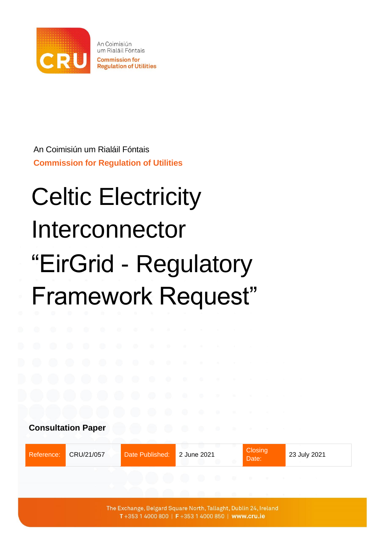

An Coimisiún um Rialáil Fóntais **Commission for Regulation of Utilities** 

An Coimisiún um Rialáil Fóntais **Commission for Regulation of Utilities**

# Celtic Electricity Interconnector "EirGrid - Regulatory Framework Request"

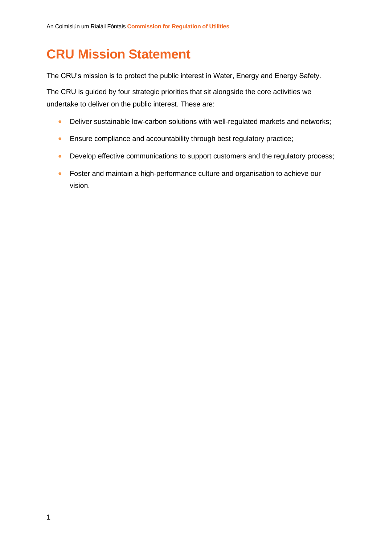## <span id="page-1-0"></span>**CRU Mission Statement**

The CRU's mission is to protect the public interest in Water, Energy and Energy Safety.

The CRU is guided by four strategic priorities that sit alongside the core activities we undertake to deliver on the public interest. These are:

- Deliver sustainable low-carbon solutions with well-regulated markets and networks;
- Ensure compliance and accountability through best regulatory practice;
- Develop effective communications to support customers and the regulatory process;
- Foster and maintain a high-performance culture and organisation to achieve our vision.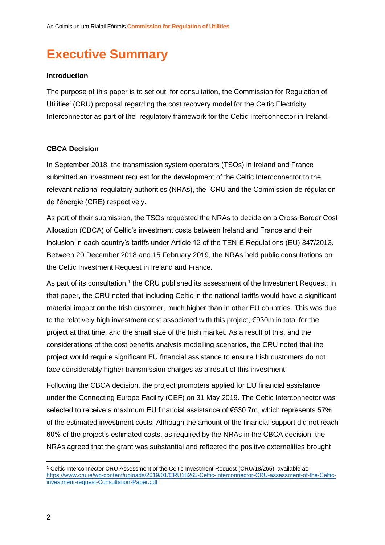## <span id="page-2-0"></span>**Executive Summary**

#### **Introduction**

The purpose of this paper is to set out, for consultation, the Commission for Regulation of Utilities' (CRU) proposal regarding the cost recovery model for the Celtic Electricity Interconnector as part of the regulatory framework for the Celtic Interconnector in Ireland.

#### **CBCA Decision**

In September 2018, the transmission system operators (TSOs) in Ireland and France submitted an investment request for the development of the Celtic Interconnector to the relevant national regulatory authorities (NRAs), the CRU and the Commission de régulation de l'énergie (CRE) respectively.

As part of their submission, the TSOs requested the NRAs to decide on a Cross Border Cost Allocation (CBCA) of Celtic's investment costs between Ireland and France and their inclusion in each country's tariffs under Article 12 of the TEN-E Regulations (EU) 347/2013. Between 20 December 2018 and 15 February 2019, the NRAs held public consultations on the Celtic Investment Request in Ireland and France.

As part of its consultation,<sup>1</sup> the CRU published its assessment of the Investment Request. In that paper, the CRU noted that including Celtic in the national tariffs would have a significant material impact on the Irish customer, much higher than in other EU countries. This was due to the relatively high investment cost associated with this project, €930m in total for the project at that time, and the small size of the Irish market. As a result of this, and the considerations of the cost benefits analysis modelling scenarios, the CRU noted that the project would require significant EU financial assistance to ensure Irish customers do not face considerably higher transmission charges as a result of this investment.

Following the CBCA decision, the project promoters applied for EU financial assistance under the Connecting Europe Facility (CEF) on 31 May 2019. The Celtic Interconnector was selected to receive a maximum EU financial assistance of €530.7m, which represents 57% of the estimated investment costs. Although the amount of the financial support did not reach 60% of the project's estimated costs, as required by the NRAs in the CBCA decision, the NRAs agreed that the grant was substantial and reflected the positive externalities brought

<sup>1</sup> Celtic Interconnector CRU Assessment of the Celtic Investment Request (CRU/18/265), available at: [https://www.cru.ie/wp-content/uploads/2019/01/CRU18265-Celtic-Interconnector-CRU-assessment-of-the-Celtic](https://www.cru.ie/wp-content/uploads/2019/01/CRU18265-Celtic-Interconnector-CRU-assessment-of-the-Celtic-investment-request-Consultation-Paper.pdf)[investment-request-Consultation-Paper.pdf](https://www.cru.ie/wp-content/uploads/2019/01/CRU18265-Celtic-Interconnector-CRU-assessment-of-the-Celtic-investment-request-Consultation-Paper.pdf)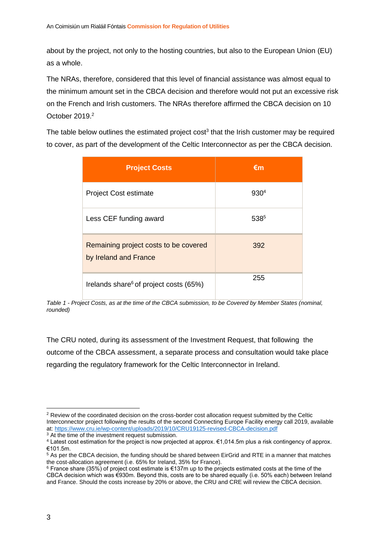about by the project, not only to the hosting countries, but also to the European Union (EU) as a whole.

The NRAs, therefore, considered that this level of financial assistance was almost equal to the minimum amount set in the CBCA decision and therefore would not put an excessive risk on the French and Irish customers. The NRAs therefore affirmed the CBCA decision on 10 October 2019.<sup>2</sup>

The table below outlines the estimated project cost<sup>3</sup> that the Irish customer may be required to cover, as part of the development of the Celtic Interconnector as per the CBCA decision.

| <b>Project Costs</b>                                           | €m   |
|----------------------------------------------------------------|------|
| <b>Project Cost estimate</b>                                   | 9304 |
| Less CEF funding award                                         | 5385 |
| Remaining project costs to be covered<br>by Ireland and France | 392  |
| Irelands share <sup>6</sup> of project costs (65%)             | 255  |

*Table 1 - Project Costs, as at the time of the CBCA submission, to be Covered by Member States (nominal, rounded)*

The CRU noted, during its assessment of the Investment Request, that following the outcome of the CBCA assessment, a separate process and consultation would take place regarding the regulatory framework for the Celtic Interconnector in Ireland.

<sup>3</sup> At the time of the investment request submission.

<sup>&</sup>lt;sup>2</sup> Review of the coordinated decision on the cross-border cost allocation request submitted by the Celtic Interconnector project following the results of the second Connecting Europe Facility energy call 2019, available at[: https://www.cru.ie/wp-content/uploads/2019/10/CRU19125-revised-CBCA-decision.pdf](https://www.cru.ie/wp-content/uploads/2019/10/CRU19125-revised-CBCA-decision.pdf)

<sup>4</sup> Latest cost estimation for the project is now projected at approx. €1,014.5m plus a risk contingency of approx. €101.5m.

<sup>5</sup> As per the CBCA decision, the funding should be shared between EirGrid and RTE in a manner that matches the cost-allocation agreement (i.e. 65% for Ireland, 35% for France).

<sup>6</sup> France share (35%) of project cost estimate is €137m up to the projects estimated costs at the time of the CBCA decision which was €930m. Beyond this, costs are to be shared equally (i.e. 50% each) between Ireland and France. Should the costs increase by 20% or above, the CRU and CRE will review the CBCA decision.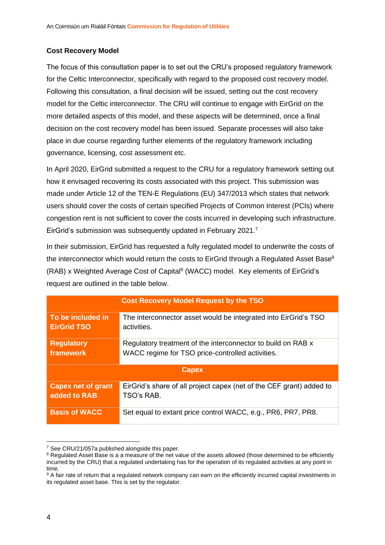#### **Cost Recovery Model**

The focus of this consultation paper is to set out the CRU's proposed regulatory framework for the Celtic Interconnector, specifically with regard to the proposed cost recovery model. Following this consultation, a final decision will be issued, setting out the cost recovery model for the Celtic interconnector. The CRU will continue to engage with EirGrid on the more detailed aspects of this model, and these aspects will be determined, once a final decision on the cost recovery model has been issued. Separate processes will also take place in due course regarding further elements of the regulatory framework including governance, licensing, cost assessment etc.

In April 2020, EirGrid submitted a request to the CRU for a regulatory framework setting out how it envisaged recovering its costs associated with this project. This submission was made under Article 12 of the TEN-E Regulations (EU) 347/2013 which states that network users should cover the costs of certain specified Projects of Common Interest (PCIs) where congestion rent is not sufficient to cover the costs incurred in developing such infrastructure. EirGrid's submission was subsequently updated in February 2021.<sup>7</sup>

In their submission, EirGrid has requested a fully regulated model to underwrite the costs of the interconnector which would return the costs to EirGrid through a Regulated Asset Base<sup>8</sup> (RAB) x Weighted Average Cost of Capital<sup>9</sup> (WACC) model. Key elements of EirGrid's request are outlined in the table below.

| <b>Cost Recovery Model Request by the TSO</b> |                                                                      |  |
|-----------------------------------------------|----------------------------------------------------------------------|--|
| To be included in                             | The interconnector asset would be integrated into EirGrid's TSO      |  |
| <b>EirGrid TSO</b>                            | activities.                                                          |  |
| <b>Regulatory</b>                             | Regulatory treatment of the interconnector to build on RAB x         |  |
| framework                                     | WACC regime for TSO price-controlled activities.                     |  |
| <b>Capex</b>                                  |                                                                      |  |
| <b>Capex net of grant</b>                     | EirGrid's share of all project capex (net of the CEF grant) added to |  |
| added to RAB                                  | TSO's RAB.                                                           |  |
| <b>Basis of WACC</b>                          | Set equal to extant price control WACC, e.g., PR6, PR7, PR8.         |  |

<sup>7</sup> See CRU/21/057a published alongside this paper.

<sup>&</sup>lt;sup>8</sup> Regulated Asset Base is a a measure of the net value of the assets allowed (those determined to be efficiently incurred by the CRU) that a regulated undertaking has for the operation of its regulated activities at any point in time.

<sup>&</sup>lt;sup>9</sup> A fair rate of return that a regulated network company can earn on the efficiently incurred capital investments in its regulated asset base. This is set by the regulator.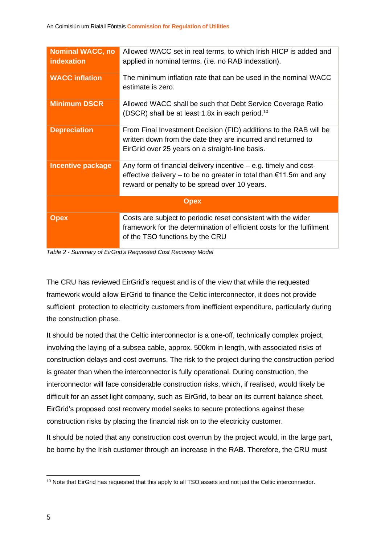| <b>Nominal WACC, no</b><br>indexation | Allowed WACC set in real terms, to which Irish HICP is added and<br>applied in nominal terms, (i.e. no RAB indexation).                                                                             |  |
|---------------------------------------|-----------------------------------------------------------------------------------------------------------------------------------------------------------------------------------------------------|--|
| <b>WACC inflation</b>                 | The minimum inflation rate that can be used in the nominal WACC<br>estimate is zero.                                                                                                                |  |
| <b>Minimum DSCR</b>                   | Allowed WACC shall be such that Debt Service Coverage Ratio<br>(DSCR) shall be at least 1.8x in each period. <sup>10</sup>                                                                          |  |
| <b>Depreciation</b>                   | From Final Investment Decision (FID) additions to the RAB will be<br>written down from the date they are incurred and returned to<br>EirGrid over 25 years on a straight-line basis.                |  |
| <b>Incentive package</b>              | Any form of financial delivery incentive $-$ e.g. timely and cost-<br>effective delivery – to be no greater in total than $\epsilon$ 11.5m and any<br>reward or penalty to be spread over 10 years. |  |
| <b>Opex</b>                           |                                                                                                                                                                                                     |  |
| <b>Opex</b>                           | Costs are subject to periodic reset consistent with the wider<br>framework for the determination of efficient costs for the fulfilment<br>of the TSO functions by the CRU                           |  |

*Table 2 - Summary of EirGrid's Requested Cost Recovery Model*

The CRU has reviewed EirGrid's request and is of the view that while the requested framework would allow EirGrid to finance the Celtic interconnector, it does not provide sufficient protection to electricity customers from inefficient expenditure, particularly during the construction phase.

It should be noted that the Celtic interconnector is a one-off, technically complex project, involving the laying of a subsea cable, approx. 500km in length, with associated risks of construction delays and cost overruns. The risk to the project during the construction period is greater than when the interconnector is fully operational. During construction, the interconnector will face considerable construction risks, which, if realised, would likely be difficult for an asset light company, such as EirGrid, to bear on its current balance sheet. EirGrid's proposed cost recovery model seeks to secure protections against these construction risks by placing the financial risk on to the electricity customer.

It should be noted that any construction cost overrun by the project would, in the large part, be borne by the Irish customer through an increase in the RAB. Therefore, the CRU must

<sup>&</sup>lt;sup>10</sup> Note that EirGrid has requested that this apply to all TSO assets and not just the Celtic interconnector.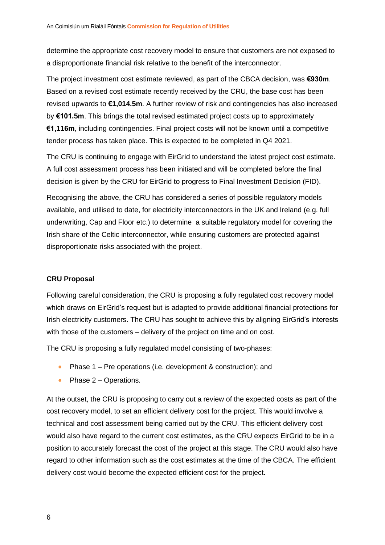determine the appropriate cost recovery model to ensure that customers are not exposed to a disproportionate financial risk relative to the benefit of the interconnector.

The project investment cost estimate reviewed, as part of the CBCA decision, was **€930m**. Based on a revised cost estimate recently received by the CRU, the base cost has been revised upwards to **€1,014.5m**. A further review of risk and contingencies has also increased by **€101.5m**. This brings the total revised estimated project costs up to approximately **€1,116m**, including contingencies. Final project costs will not be known until a competitive tender process has taken place. This is expected to be completed in Q4 2021.

The CRU is continuing to engage with EirGrid to understand the latest project cost estimate. A full cost assessment process has been initiated and will be completed before the final decision is given by the CRU for EirGrid to progress to Final Investment Decision (FID).

Recognising the above, the CRU has considered a series of possible regulatory models available, and utilised to date, for electricity interconnectors in the UK and Ireland (e.g. full underwriting, Cap and Floor etc.) to determine a suitable regulatory model for covering the Irish share of the Celtic interconnector, while ensuring customers are protected against disproportionate risks associated with the project.

#### **CRU Proposal**

Following careful consideration, the CRU is proposing a fully regulated cost recovery model which draws on EirGrid's request but is adapted to provide additional financial protections for Irish electricity customers. The CRU has sought to achieve this by aligning EirGrid's interests with those of the customers – delivery of the project on time and on cost.

The CRU is proposing a fully regulated model consisting of two-phases:

- Phase 1 Pre operations (i.e. development & construction); and
- Phase 2 Operations.

At the outset, the CRU is proposing to carry out a review of the expected costs as part of the cost recovery model, to set an efficient delivery cost for the project. This would involve a technical and cost assessment being carried out by the CRU. This efficient delivery cost would also have regard to the current cost estimates, as the CRU expects EirGrid to be in a position to accurately forecast the cost of the project at this stage. The CRU would also have regard to other information such as the cost estimates at the time of the CBCA. The efficient delivery cost would become the expected efficient cost for the project.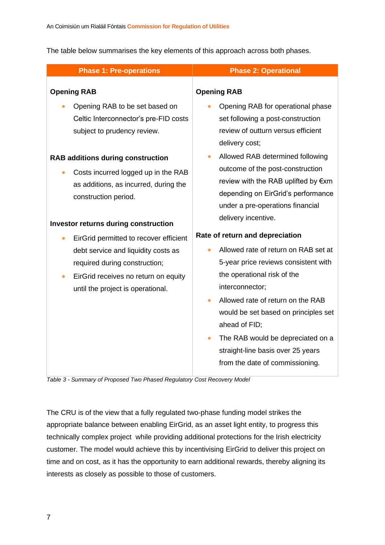The table below summarises the key elements of this approach across both phases.

| <b>Phase 1: Pre-operations</b>                                                                                                                                                                                        | <b>Phase 2: Operational</b>                                                                                                                                                                                                                                                                                                                                                                            |
|-----------------------------------------------------------------------------------------------------------------------------------------------------------------------------------------------------------------------|--------------------------------------------------------------------------------------------------------------------------------------------------------------------------------------------------------------------------------------------------------------------------------------------------------------------------------------------------------------------------------------------------------|
| <b>Opening RAB</b><br>Opening RAB to be set based on<br>Celtic Interconnector's pre-FID costs<br>subject to prudency review.                                                                                          | <b>Opening RAB</b><br>Opening RAB for operational phase<br>set following a post-construction<br>review of outturn versus efficient                                                                                                                                                                                                                                                                     |
| <b>RAB additions during construction</b><br>Costs incurred logged up in the RAB<br>$\bullet$<br>as additions, as incurred, during the<br>construction period.                                                         | delivery cost;<br>Allowed RAB determined following<br>$\bullet$<br>outcome of the post-construction<br>review with the RAB uplifted by €xm<br>depending on EirGrid's performance<br>under a pre-operations financial                                                                                                                                                                                   |
| <b>Investor returns during construction</b>                                                                                                                                                                           | delivery incentive.                                                                                                                                                                                                                                                                                                                                                                                    |
| EirGrid permitted to recover efficient<br>$\bullet$<br>debt service and liquidity costs as<br>required during construction;<br>EirGrid receives no return on equity<br>$\bullet$<br>until the project is operational. | Rate of return and depreciation<br>Allowed rate of return on RAB set at<br>5-year price reviews consistent with<br>the operational risk of the<br>interconnector;<br>Allowed rate of return on the RAB<br>$\bullet$<br>would be set based on principles set<br>ahead of FID;<br>The RAB would be depreciated on a<br>$\bullet$<br>straight-line basis over 25 years<br>from the date of commissioning. |

*Table 3 - Summary of Proposed Two Phased Regulatory Cost Recovery Model*

The CRU is of the view that a fully regulated two-phase funding model strikes the appropriate balance between enabling EirGrid, as an asset light entity, to progress this technically complex project while providing additional protections for the Irish electricity customer. The model would achieve this by incentivising EirGrid to deliver this project on time and on cost, as it has the opportunity to earn additional rewards, thereby aligning its interests as closely as possible to those of customers.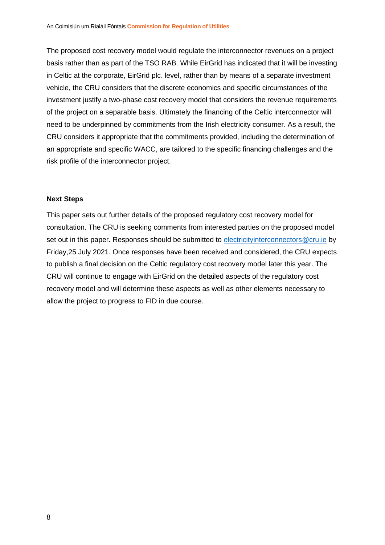The proposed cost recovery model would regulate the interconnector revenues on a project basis rather than as part of the TSO RAB. While EirGrid has indicated that it will be investing in Celtic at the corporate, EirGrid plc. level, rather than by means of a separate investment vehicle, the CRU considers that the discrete economics and specific circumstances of the investment justify a two-phase cost recovery model that considers the revenue requirements of the project on a separable basis. Ultimately the financing of the Celtic interconnector will need to be underpinned by commitments from the Irish electricity consumer. As a result, the CRU considers it appropriate that the commitments provided, including the determination of an appropriate and specific WACC, are tailored to the specific financing challenges and the risk profile of the interconnector project.

#### **Next Steps**

This paper sets out further details of the proposed regulatory cost recovery model for consultation. The CRU is seeking comments from interested parties on the proposed model set out in this paper. Responses should be submitted to [electricityinterconnectors@cru.ie](mailto:electricityinterconnectors@cru.ie) by Friday,25 July 2021. Once responses have been received and considered, the CRU expects to publish a final decision on the Celtic regulatory cost recovery model later this year. The CRU will continue to engage with EirGrid on the detailed aspects of the regulatory cost recovery model and will determine these aspects as well as other elements necessary to allow the project to progress to FID in due course.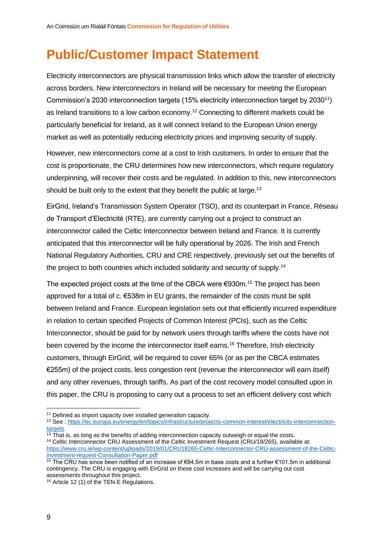## <span id="page-9-0"></span>**Public/Customer Impact Statement**

Electricity interconnectors are physical transmission links which allow the transfer of electricity across borders. New interconnectors in Ireland will be necessary for meeting the European Commission's 2030 interconnection targets (15% electricity interconnection target by 2030<sup>11</sup>) as Ireland transitions to a low carbon economy.<sup>12</sup> Connecting to different markets could be particularly beneficial for Ireland, as it will connect Ireland to the European Union energy market as well as potentially reducing electricity prices and improving security of supply.

However, new interconnectors come at a cost to Irish customers. In order to ensure that the cost is proportionate, the CRU determines how new interconnectors, which require regulatory underpinning, will recover their costs and be regulated. In addition to this, new interconnectors should be built only to the extent that they benefit the public at large.<sup>13</sup>

EirGrid, Ireland's Transmission System Operator (TSO), and its counterpart in France, Réseau de Transport d'Electricité (RTE), are currently carrying out a project to construct an interconnector called the Celtic Interconnector between Ireland and France. It is currently anticipated that this interconnector will be fully operational by 2026. The Irish and French National Regulatory Authorities, CRU and CRE respectively, previously set out the benefits of the project to both countries which included solidarity and security of supply.<sup>14</sup>

The expected project costs at the time of the CBCA were  $€930m$ .<sup>15</sup> The project has been approved for a total of c.  $\epsilon$ 538m in EU grants, the remainder of the costs must be split between Ireland and France. European legislation sets out that efficiently incurred expenditure in relation to certain specified Projects of Common Interest (PCIs), such as the Celtic Interconnector, should be paid for by network users through tariffs where the costs have not been covered by the income the interconnector itself earns. <sup>16</sup> Therefore, Irish electricity customers, through EirGrid, will be required to cover 65% (or as per the CBCA estimates €255m) of the project costs, less congestion rent (revenue the interconnector will earn itself) and any other revenues, through tariffs. As part of the cost recovery model consulted upon in this paper, the CRU is proposing to carry out a process to set an efficient delivery cost which

<sup>12</sup> See [: https://ec.europa.eu/energy/en/topics/infrastructure/projects-common-interest/electricity-interconnection](https://ec.europa.eu/energy/en/topics/infrastructure/projects-common-interest/electricity-interconnection-targets)[targets](https://ec.europa.eu/energy/en/topics/infrastructure/projects-common-interest/electricity-interconnection-targets)

<sup>14</sup> Celtic Interconnector CRU Assessment of the Celtic Investment Request (CRU/18/265), available at: [https://www.cru.ie/wp-content/uploads/2019/01/CRU18265-Celtic-Interconnector-CRU-assessment-of-the-Celtic](https://www.cru.ie/wp-content/uploads/2019/01/CRU18265-Celtic-Interconnector-CRU-assessment-of-the-Celtic-investment-request-Consultation-Paper.pdf)[investment-request-Consultation-Paper.pdf](https://www.cru.ie/wp-content/uploads/2019/01/CRU18265-Celtic-Interconnector-CRU-assessment-of-the-Celtic-investment-request-Consultation-Paper.pdf)

<sup>&</sup>lt;sup>11</sup> Defined as import capacity over installed generation capacity.

 $\frac{13 \text{ That}}{13}$  is, as long as the benefits of adding interconnection capacity outweigh or equal the costs.

<sup>15</sup> The CRU has since been notified of an increase of €84.5m in base costs and a further €101.5m in additional contingency. The CRU is engaging with EirGrid on these cost increases and will be carrying out cost assessments throughout this project.

<sup>16</sup> Article 12 (1) of the TEN-E Regulations.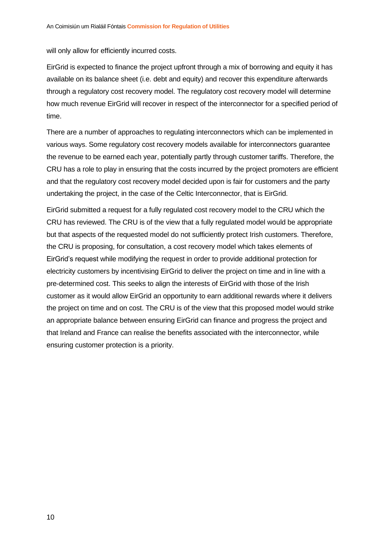will only allow for efficiently incurred costs.

EirGrid is expected to finance the project upfront through a mix of borrowing and equity it has available on its balance sheet (i.e. debt and equity) and recover this expenditure afterwards through a regulatory cost recovery model. The regulatory cost recovery model will determine how much revenue EirGrid will recover in respect of the interconnector for a specified period of time.

There are a number of approaches to regulating interconnectors which can be implemented in various ways. Some regulatory cost recovery models available for interconnectors guarantee the revenue to be earned each year, potentially partly through customer tariffs. Therefore, the CRU has a role to play in ensuring that the costs incurred by the project promoters are efficient and that the regulatory cost recovery model decided upon is fair for customers and the party undertaking the project, in the case of the Celtic Interconnector, that is EirGrid.

EirGrid submitted a request for a fully regulated cost recovery model to the CRU which the CRU has reviewed. The CRU is of the view that a fully regulated model would be appropriate but that aspects of the requested model do not sufficiently protect Irish customers. Therefore, the CRU is proposing, for consultation, a cost recovery model which takes elements of EirGrid's request while modifying the request in order to provide additional protection for electricity customers by incentivising EirGrid to deliver the project on time and in line with a pre-determined cost. This seeks to align the interests of EirGrid with those of the Irish customer as it would allow EirGrid an opportunity to earn additional rewards where it delivers the project on time and on cost. The CRU is of the view that this proposed model would strike an appropriate balance between ensuring EirGrid can finance and progress the project and that Ireland and France can realise the benefits associated with the interconnector, while ensuring customer protection is a priority.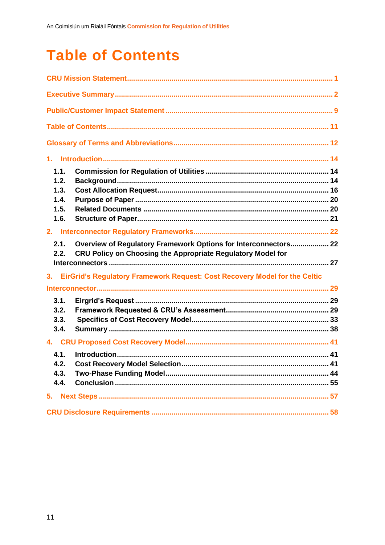## <span id="page-11-0"></span>**Table of Contents**

| 1.1.         |                                                                                                                                |  |
|--------------|--------------------------------------------------------------------------------------------------------------------------------|--|
| 1.2.         |                                                                                                                                |  |
| 1.3.         |                                                                                                                                |  |
| 1.4.         |                                                                                                                                |  |
| 1.5.<br>1.6. |                                                                                                                                |  |
|              |                                                                                                                                |  |
|              |                                                                                                                                |  |
| 2.1.<br>2.2. | Overview of Regulatory Framework Options for Interconnectors 22<br>CRU Policy on Choosing the Appropriate Regulatory Model for |  |
|              |                                                                                                                                |  |
| 3.           | EirGrid's Regulatory Framework Request: Cost Recovery Model for the Celtic                                                     |  |
|              |                                                                                                                                |  |
| 3.1.         |                                                                                                                                |  |
| 3.2.         |                                                                                                                                |  |
| 3.3.         |                                                                                                                                |  |
| 3.4.         |                                                                                                                                |  |
|              |                                                                                                                                |  |
| 4.1.         |                                                                                                                                |  |
| 4.2.         |                                                                                                                                |  |
| 4.3.         |                                                                                                                                |  |
| 4.4.         |                                                                                                                                |  |
| 5.           |                                                                                                                                |  |
|              |                                                                                                                                |  |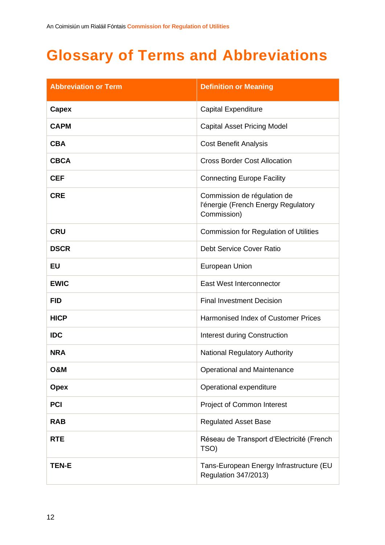## <span id="page-12-0"></span>**Glossary of Terms and Abbreviations**

| <b>Abbreviation or Term</b> | <b>Definition or Meaning</b>                                                      |
|-----------------------------|-----------------------------------------------------------------------------------|
| <b>Capex</b>                | <b>Capital Expenditure</b>                                                        |
| <b>CAPM</b>                 | <b>Capital Asset Pricing Model</b>                                                |
| <b>CBA</b>                  | <b>Cost Benefit Analysis</b>                                                      |
| <b>CBCA</b>                 | <b>Cross Border Cost Allocation</b>                                               |
| <b>CEF</b>                  | <b>Connecting Europe Facility</b>                                                 |
| <b>CRE</b>                  | Commission de régulation de<br>l'énergie (French Energy Regulatory<br>Commission) |
| <b>CRU</b>                  | <b>Commission for Regulation of Utilities</b>                                     |
| <b>DSCR</b>                 | <b>Debt Service Cover Ratio</b>                                                   |
| <b>EU</b>                   | European Union                                                                    |
| <b>EWIC</b>                 | East West Interconnector                                                          |
| <b>FID</b>                  | <b>Final Investment Decision</b>                                                  |
| <b>HICP</b>                 | Harmonised Index of Customer Prices                                               |
| <b>IDC</b>                  | <b>Interest during Construction</b>                                               |
| <b>NRA</b>                  | <b>National Regulatory Authority</b>                                              |
| <b>O&amp;M</b>              | <b>Operational and Maintenance</b>                                                |
| <b>Opex</b>                 | Operational expenditure                                                           |
| <b>PCI</b>                  | Project of Common Interest                                                        |
| <b>RAB</b>                  | <b>Regulated Asset Base</b>                                                       |
| <b>RTE</b>                  | Réseau de Transport d'Electricité (French<br>TSO)                                 |
| <b>TEN-E</b>                | Tans-European Energy Infrastructure (EU<br>Regulation 347/2013)                   |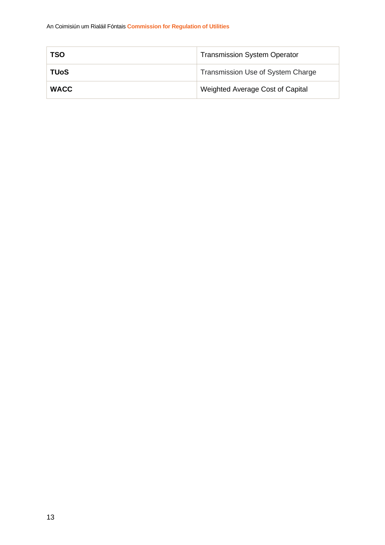| TSO         | <b>Transmission System Operator</b> |
|-------------|-------------------------------------|
| TUoS        | Transmission Use of System Charge   |
| <b>WACC</b> | Weighted Average Cost of Capital    |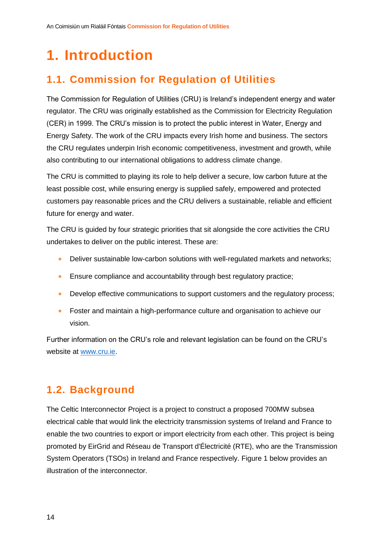## <span id="page-14-0"></span>**1. Introduction**

## <span id="page-14-1"></span>**1.1. Commission for Regulation of Utilities**

The Commission for Regulation of Utilities (CRU) is Ireland's independent energy and water regulator. The CRU was originally established as the Commission for Electricity Regulation (CER) in 1999. The CRU's mission is to protect the public interest in Water, Energy and Energy Safety. The work of the CRU impacts every Irish home and business. The sectors the CRU regulates underpin Irish economic competitiveness, investment and growth, while also contributing to our international obligations to address climate change.

The CRU is committed to playing its role to help deliver a secure, low carbon future at the least possible cost, while ensuring energy is supplied safely, empowered and protected customers pay reasonable prices and the CRU delivers a sustainable, reliable and efficient future for energy and water.

The CRU is guided by four strategic priorities that sit alongside the core activities the CRU undertakes to deliver on the public interest. These are:

- Deliver sustainable low-carbon solutions with well-regulated markets and networks;
- Ensure compliance and accountability through best regulatory practice;
- Develop effective communications to support customers and the regulatory process;
- Foster and maintain a high-performance culture and organisation to achieve our vision.

Further information on the CRU's role and relevant legislation can be found on the CRU's website at [www.cru.ie.](http://www.cru.ie/)

## <span id="page-14-2"></span>**1.2. Background**

The Celtic Interconnector Project is a project to construct a proposed 700MW subsea electrical cable that would link the electricity transmission systems of Ireland and France to enable the two countries to export or import electricity from each other. This project is being promoted by EirGrid and Réseau de Transport d'Électricité (RTE), who are the Transmission System Operators (TSOs) in Ireland and France respectively. Figure 1 below provides an illustration of the interconnector.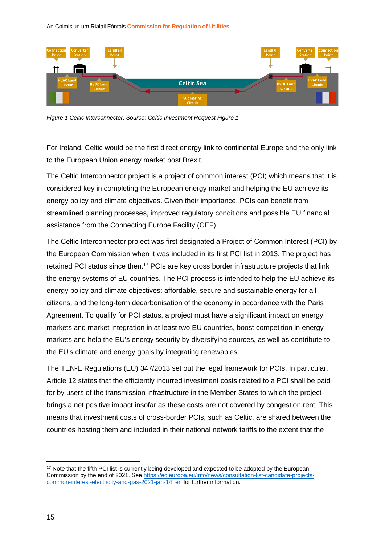An Coimisiún um Rialáil Fóntais **Commission for Regulation of Utilities**



*Figure 1 Celtic Interconnector, Source: Celtic Investment Request Figure 1*

For Ireland, Celtic would be the first direct energy link to continental Europe and the only link to the European Union energy market post Brexit.

The Celtic Interconnector project is a project of common interest (PCI) which means that it is considered key in completing the European energy market and helping the EU achieve its energy policy and climate objectives. Given their importance, PCIs can benefit from streamlined planning processes, improved regulatory conditions and possible EU financial assistance from the Connecting Europe Facility (CEF).

The Celtic Interconnector project was first designated a Project of Common Interest (PCI) by the European Commission when it was included in its first PCI list in 2013. The project has retained PCI status since then.<sup>17</sup> PCIs are key cross border infrastructure projects that link the energy systems of EU countries. The PCI process is intended to help the EU achieve its energy policy and climate objectives: affordable, secure and sustainable energy for all citizens, and the long-term decarbonisation of the economy in accordance with the Paris Agreement. To qualify for PCI status, a project must have a significant impact on energy markets and market integration in at least two EU countries, boost competition in energy markets and help the EU's energy security by diversifying sources, as well as contribute to the EU's climate and energy goals by integrating renewables.

The TEN-E Regulations (EU) 347/2013 set out the legal framework for PCIs. In particular, Article 12 states that the efficiently incurred investment costs related to a PCI shall be paid for by users of the transmission infrastructure in the Member States to which the project brings a net positive impact insofar as these costs are not covered by congestion rent. This means that investment costs of cross-border PCIs, such as Celtic, are shared between the countries hosting them and included in their national network tariffs to the extent that the

<sup>&</sup>lt;sup>17</sup> Note that the fifth PCI list is currently being developed and expected to be adopted by the European Commission by the end of 2021. See [https://ec.europa.eu/info/news/consultation-list-candidate-projects](https://ec.europa.eu/info/news/consultation-list-candidate-projects-common-interest-electricity-and-gas-2021-jan-14_en)[common-interest-electricity-and-gas-2021-jan-14\\_en](https://ec.europa.eu/info/news/consultation-list-candidate-projects-common-interest-electricity-and-gas-2021-jan-14_en) for further information.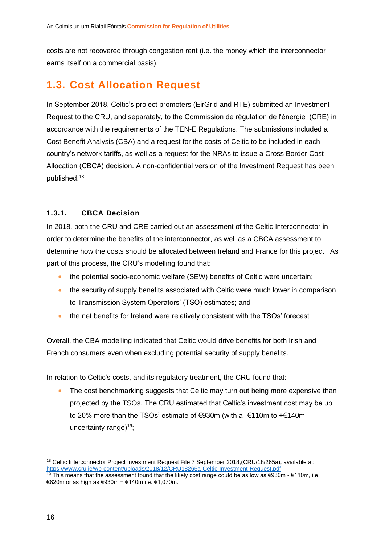costs are not recovered through congestion rent (i.e. the money which the interconnector earns itself on a commercial basis).

### <span id="page-16-0"></span>**1.3. Cost Allocation Request**

In September 2018, Celtic's project promoters (EirGrid and RTE) submitted an Investment Request to the CRU, and separately, to the Commission de régulation de l'énergie (CRE) in accordance with the requirements of the TEN-E Regulations. The submissions included a Cost Benefit Analysis (CBA) and a request for the costs of Celtic to be included in each country's network tariffs, as well as a request for the NRAs to issue a Cross Border Cost Allocation (CBCA) decision. A non-confidential version of the Investment Request has been published. 18

#### **1.3.1. CBCA Decision**

In 2018, both the CRU and CRE carried out an assessment of the Celtic Interconnector in order to determine the benefits of the interconnector, as well as a CBCA assessment to determine how the costs should be allocated between Ireland and France for this project. As part of this process, the CRU's modelling found that:

- the potential socio-economic welfare (SEW) benefits of Celtic were uncertain;
- the security of supply benefits associated with Celtic were much lower in comparison to Transmission System Operators' (TSO) estimates; and
- the net benefits for Ireland were relatively consistent with the TSOs' forecast.

Overall, the CBA modelling indicated that Celtic would drive benefits for both Irish and French consumers even when excluding potential security of supply benefits.

In relation to Celtic's costs, and its regulatory treatment, the CRU found that:

The cost benchmarking suggests that Celtic may turn out being more expensive than projected by the TSOs. The CRU estimated that Celtic's investment cost may be up to 20% more than the TSOs' estimate of €930m (with a -€110m to +€140m uncertainty range $19$ ;

<sup>&</sup>lt;sup>18</sup> Celtic Interconnector Project Investment Request File 7 September 2018, (CRU/18/265a), available at: <https://www.cru.ie/wp-content/uploads/2018/12/CRU18265a-Celtic-Investment-Request.pdf>

<sup>&</sup>lt;sup>19</sup> This means that the assessment found that the likely cost range could be as low as €930m - €110m, i.e. €820m or as high as €930m + €140m i.e. €1,070m.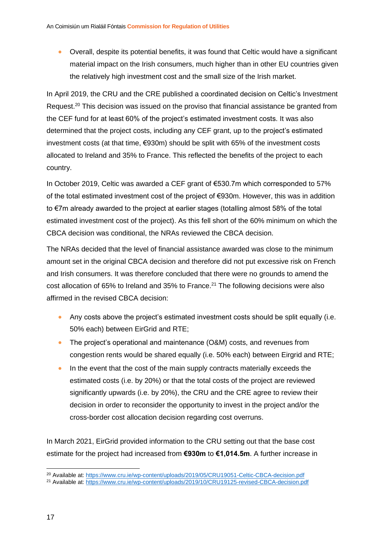• Overall, despite its potential benefits, it was found that Celtic would have a significant material impact on the Irish consumers, much higher than in other EU countries given the relatively high investment cost and the small size of the Irish market.

In April 2019, the CRU and the CRE published a coordinated decision on Celtic's Investment Request.<sup>20</sup> This decision was issued on the proviso that financial assistance be granted from the CEF fund for at least 60% of the project's estimated investment costs. It was also determined that the project costs, including any CEF grant, up to the project's estimated investment costs (at that time, €930m) should be split with 65% of the investment costs allocated to Ireland and 35% to France. This reflected the benefits of the project to each country.

In October 2019, Celtic was awarded a CEF grant of €530.7m which corresponded to 57% of the total estimated investment cost of the project of €930m. However, this was in addition to €7m already awarded to the project at earlier stages (totalling almost 58% of the total estimated investment cost of the project). As this fell short of the 60% minimum on which the CBCA decision was conditional, the NRAs reviewed the CBCA decision.

The NRAs decided that the level of financial assistance awarded was close to the minimum amount set in the original CBCA decision and therefore did not put excessive risk on French and Irish consumers. It was therefore concluded that there were no grounds to amend the cost allocation of 65% to Ireland and 35% to France.<sup>21</sup> The following decisions were also affirmed in the revised CBCA decision:

- Any costs above the project's estimated investment costs should be split equally (i.e. 50% each) between EirGrid and RTE;
- The project's operational and maintenance (O&M) costs, and revenues from congestion rents would be shared equally (i.e. 50% each) between Eirgrid and RTE;
- In the event that the cost of the main supply contracts materially exceeds the estimated costs (i.e. by 20%) or that the total costs of the project are reviewed significantly upwards (i.e. by 20%), the CRU and the CRE agree to review their decision in order to reconsider the opportunity to invest in the project and/or the cross-border cost allocation decision regarding cost overruns.

In March 2021, EirGrid provided information to the CRU setting out that the base cost estimate for the project had increased from **€930m** to **€1,014.5m**. A further increase in

<sup>20</sup> Available at[: https://www.cru.ie/wp-content/uploads/2019/05/CRU19051-Celtic-CBCA-decision.pdf](https://www.cru.ie/wp-content/uploads/2019/05/CRU19051-Celtic-CBCA-decision.pdf)

<sup>21</sup> Available at[: https://www.cru.ie/wp-content/uploads/2019/10/CRU19125-revised-CBCA-decision.pdf](https://www.cru.ie/wp-content/uploads/2019/10/CRU19125-revised-CBCA-decision.pdf)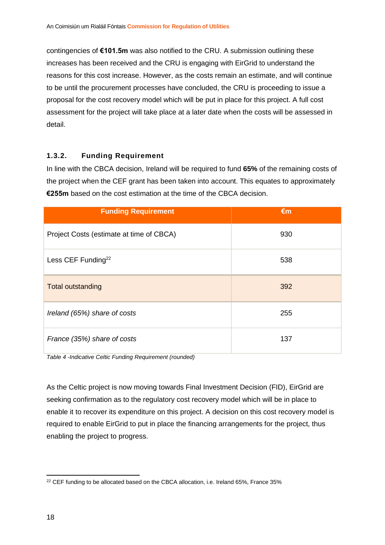contingencies of **€101.5m** was also notified to the CRU. A submission outlining these increases has been received and the CRU is engaging with EirGrid to understand the reasons for this cost increase. However, as the costs remain an estimate, and will continue to be until the procurement processes have concluded, the CRU is proceeding to issue a proposal for the cost recovery model which will be put in place for this project. A full cost assessment for the project will take place at a later date when the costs will be assessed in detail.

#### **1.3.2. Funding Requirement**

In line with the CBCA decision, Ireland will be required to fund **65%** of the remaining costs of the project when the CEF grant has been taken into account. This equates to approximately **€255m** based on the cost estimation at the time of the CBCA decision.

| <b>Funding Requirement</b>               | $\epsilon$ m |
|------------------------------------------|--------------|
| Project Costs (estimate at time of CBCA) | 930          |
| Less CEF Funding <sup>22</sup>           | 538          |
| <b>Total outstanding</b>                 | 392          |
| Ireland (65%) share of costs             | 255          |
| France (35%) share of costs              | 137          |

*Table 4 -Indicative Celtic Funding Requirement (rounded)*

As the Celtic project is now moving towards Final Investment Decision (FID), EirGrid are seeking confirmation as to the regulatory cost recovery model which will be in place to enable it to recover its expenditure on this project. A decision on this cost recovery model is required to enable EirGrid to put in place the financing arrangements for the project, thus enabling the project to progress.

<sup>&</sup>lt;sup>22</sup> CEF funding to be allocated based on the CBCA allocation, i.e. Ireland 65%, France 35%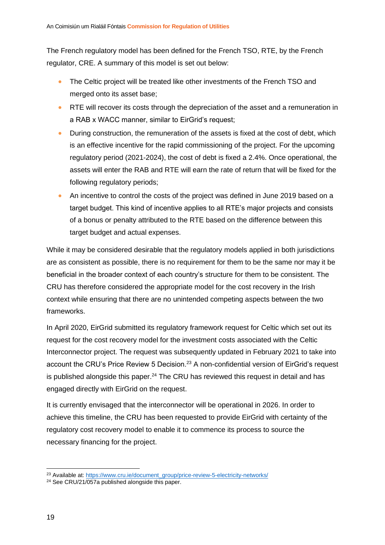The French regulatory model has been defined for the French TSO, RTE, by the French regulator, CRE. A summary of this model is set out below:

- The Celtic project will be treated like other investments of the French TSO and merged onto its asset base;
- RTE will recover its costs through the depreciation of the asset and a remuneration in a RAB x WACC manner, similar to EirGrid's request;
- During construction, the remuneration of the assets is fixed at the cost of debt, which is an effective incentive for the rapid commissioning of the project. For the upcoming regulatory period (2021-2024), the cost of debt is fixed a 2.4%. Once operational, the assets will enter the RAB and RTE will earn the rate of return that will be fixed for the following regulatory periods;
- An incentive to control the costs of the project was defined in June 2019 based on a target budget. This kind of incentive applies to all RTE's major projects and consists of a bonus or penalty attributed to the RTE based on the difference between this target budget and actual expenses.

While it may be considered desirable that the regulatory models applied in both jurisdictions are as consistent as possible, there is no requirement for them to be the same nor may it be beneficial in the broader context of each country's structure for them to be consistent. The CRU has therefore considered the appropriate model for the cost recovery in the Irish context while ensuring that there are no unintended competing aspects between the two frameworks.

In April 2020, EirGrid submitted its regulatory framework request for Celtic which set out its request for the cost recovery model for the investment costs associated with the Celtic Interconnector project. The request was subsequently updated in February 2021 to take into account the CRU's Price Review 5 Decision.<sup>23</sup> A non-confidential version of EirGrid's request is published alongside this paper. $24$  The CRU has reviewed this request in detail and has engaged directly with EirGrid on the request.

It is currently envisaged that the interconnector will be operational in 2026. In order to achieve this timeline, the CRU has been requested to provide EirGrid with certainty of the regulatory cost recovery model to enable it to commence its process to source the necessary financing for the project.

<sup>&</sup>lt;sup>23</sup> Available at[: https://www.cru.ie/document\\_group/price-review-5-electricity-networks/](https://www.cru.ie/document_group/price-review-5-electricity-networks/)

<sup>&</sup>lt;sup>24</sup> See CRU/21/057a published alongside this paper.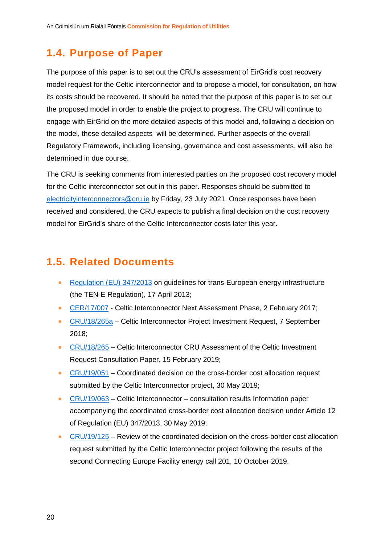### <span id="page-20-0"></span>**1.4. Purpose of Paper**

The purpose of this paper is to set out the CRU's assessment of EirGrid's cost recovery model request for the Celtic interconnector and to propose a model, for consultation, on how its costs should be recovered. It should be noted that the purpose of this paper is to set out the proposed model in order to enable the project to progress. The CRU will continue to engage with EirGrid on the more detailed aspects of this model and, following a decision on the model, these detailed aspects will be determined. Further aspects of the overall Regulatory Framework, including licensing, governance and cost assessments, will also be determined in due course.

The CRU is seeking comments from interested parties on the proposed cost recovery model for the Celtic interconnector set out in this paper. Responses should be submitted to [electricityinterconnectors@cru.ie](mailto:electricityinterconnectors@cru.ie) by Friday, 23 July 2021. Once responses have been received and considered, the CRU expects to publish a final decision on the cost recovery model for EirGrid's share of the Celtic Interconnector costs later this year.

### <span id="page-20-1"></span>**1.5. Related Documents**

- Regulation (EU) 347/2013 [on guidelines for trans-European energy infrastructure](https://eur-lex.europa.eu/legal-content/EN/TXT/PDF/?uri=CELEX:32013R0347&from=en) [\(the TEN-E Regulation\),](https://eur-lex.europa.eu/legal-content/EN/TXT/PDF/?uri=CELEX:32013R0347&from=en) 17 April 2013;
- [CER/17/007](https://www.cru.ie/wp-content/uploads/2017/07/CER17007-Celtic-Interconnector-Information-Assessment-Phase.pdf) Celtic Interconnector Next Assessment Phase, 2 February 2017;
- [CRU/18/265a](https://www.cru.ie/wp-content/uploads/2018/12/CRU18265a-Celtic-Investment-Request.pdf) Celtic Interconnector Project Investment Request, 7 September 2018;
- [CRU/18/265](https://www.cru.ie/wp-content/uploads/2019/01/CRU18265-Celtic-Interconnector-CRU-assessment-of-the-Celtic-investment-request-Consultation-Paper.pdf) Celtic Interconnector CRU Assessment of the Celtic Investment Request Consultation Paper, 15 February 2019;
- [CRU/19/051](https://www.cru.ie/wp-content/uploads/2019/05/CRU19051-Celtic-CBCA-decision.pdf) Coordinated decision on the cross-border cost allocation request submitted by the Celtic Interconnector project, 30 May 2019;
- [CRU/19/063](https://www.cru.ie/wp-content/uploads/2019/05/CRU19063-Information-Paper-Celtic-consultation-results-final.pdf) Celtic Interconnector consultation results Information paper accompanying the coordinated cross-border cost allocation decision under Article 12 of Regulation (EU) 347/2013, 30 May 2019;
- [CRU/19/125](https://www.cru.ie/wp-content/uploads/2019/10/CRU19125-revised-CBCA-decision.pdf) Review of the coordinated decision on the cross-border cost allocation request submitted by the Celtic Interconnector project following the results of the second Connecting Europe Facility energy call 201, 10 October 2019.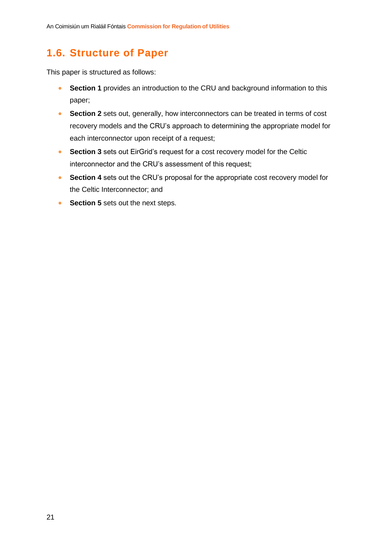## <span id="page-21-0"></span>**1.6. Structure of Paper**

This paper is structured as follows:

- **Section 1** provides an introduction to the CRU and background information to this paper;
- **Section 2** sets out, generally, how interconnectors can be treated in terms of cost recovery models and the CRU's approach to determining the appropriate model for each interconnector upon receipt of a request;
- **Section 3** sets out EirGrid's request for a cost recovery model for the Celtic interconnector and the CRU's assessment of this request;
- **Section 4** sets out the CRU's proposal for the appropriate cost recovery model for the Celtic Interconnector; and
- **Section 5** sets out the next steps.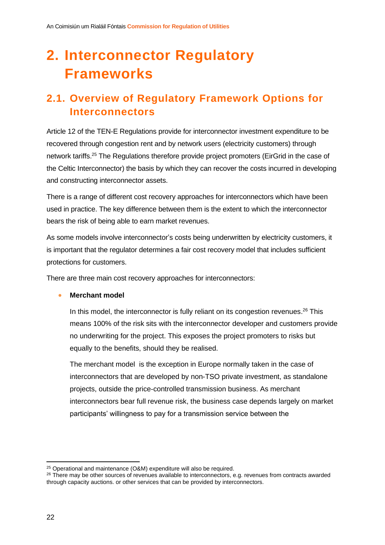## <span id="page-22-0"></span>**2. Interconnector Regulatory Frameworks**

## <span id="page-22-1"></span>**2.1. Overview of Regulatory Framework Options for Interconnectors**

Article 12 of the TEN-E Regulations provide for interconnector investment expenditure to be recovered through congestion rent and by network users (electricity customers) through network tariffs.<sup>25</sup> The Regulations therefore provide project promoters (EirGrid in the case of the Celtic Interconnector) the basis by which they can recover the costs incurred in developing and constructing interconnector assets.

There is a range of different cost recovery approaches for interconnectors which have been used in practice. The key difference between them is the extent to which the interconnector bears the risk of being able to earn market revenues.

As some models involve interconnector's costs being underwritten by electricity customers, it is important that the regulator determines a fair cost recovery model that includes sufficient protections for customers.

There are three main cost recovery approaches for interconnectors:

#### • **Merchant model**

In this model, the interconnector is fully reliant on its congestion revenues.<sup>26</sup> This means 100% of the risk sits with the interconnector developer and customers provide no underwriting for the project. This exposes the project promoters to risks but equally to the benefits, should they be realised.

The merchant model is the exception in Europe normally taken in the case of interconnectors that are developed by non-TSO private investment, as standalone projects, outside the price-controlled transmission business. As merchant interconnectors bear full revenue risk, the business case depends largely on market participants' willingness to pay for a transmission service between the

<sup>25</sup> Operational and maintenance (O&M) expenditure will also be required.

<sup>&</sup>lt;sup>26</sup> There may be other sources of revenues available to interconnectors, e.g. revenues from contracts awarded through capacity auctions. or other services that can be provided by interconnectors.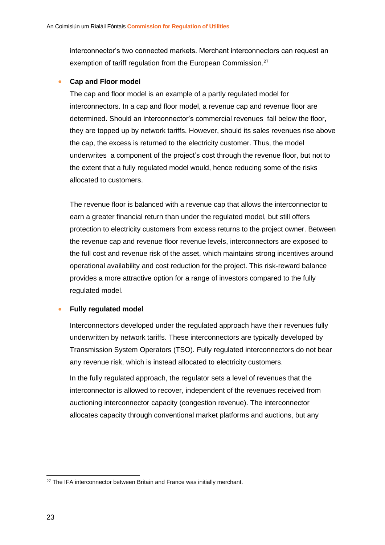interconnector's two connected markets. Merchant interconnectors can request an exemption of tariff regulation from the European Commission.<sup>27</sup>

#### • **Cap and Floor model**

The cap and floor model is an example of a partly regulated model for interconnectors. In a cap and floor model, a revenue cap and revenue floor are determined. Should an interconnector's commercial revenues fall below the floor, they are topped up by network tariffs. However, should its sales revenues rise above the cap, the excess is returned to the electricity customer. Thus, the model underwrites a component of the project's cost through the revenue floor, but not to the extent that a fully regulated model would, hence reducing some of the risks allocated to customers.

The revenue floor is balanced with a revenue cap that allows the interconnector to earn a greater financial return than under the regulated model, but still offers protection to electricity customers from excess returns to the project owner. Between the revenue cap and revenue floor revenue levels, interconnectors are exposed to the full cost and revenue risk of the asset, which maintains strong incentives around operational availability and cost reduction for the project. This risk-reward balance provides a more attractive option for a range of investors compared to the fully regulated model.

#### • **Fully regulated model**

Interconnectors developed under the regulated approach have their revenues fully underwritten by network tariffs. These interconnectors are typically developed by Transmission System Operators (TSO). Fully regulated interconnectors do not bear any revenue risk, which is instead allocated to electricity customers.

In the fully regulated approach, the regulator sets a level of revenues that the interconnector is allowed to recover, independent of the revenues received from auctioning interconnector capacity (congestion revenue). The interconnector allocates capacity through conventional market platforms and auctions, but any

<sup>&</sup>lt;sup>27</sup> The IFA interconnector between Britain and France was initially merchant.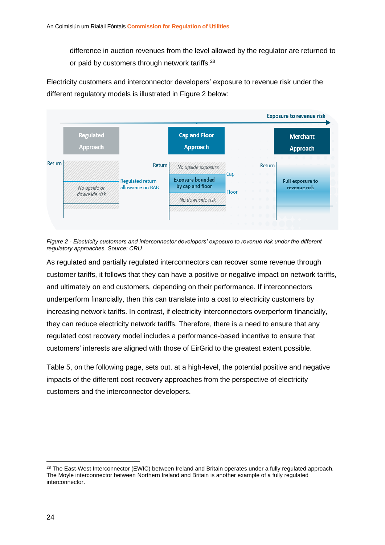difference in auction revenues from the level allowed by the regulator are returned to or paid by customers through network tariffs.<sup>28</sup>

Electricity customers and interconnector developers' exposure to revenue risk under the different regulatory models is illustrated in Figure 2 below:



*Figure 2 - Electricity customers and interconnector developers' exposure to revenue risk under the different regulatory approaches. Source: CRU*

As regulated and partially regulated interconnectors can recover some revenue through customer tariffs, it follows that they can have a positive or negative impact on network tariffs, and ultimately on end customers, depending on their performance. If interconnectors underperform financially, then this can translate into a cost to electricity customers by increasing network tariffs. In contrast, if electricity interconnectors overperform financially, they can reduce electricity network tariffs. Therefore, there is a need to ensure that any regulated cost recovery model includes a performance-based incentive to ensure that customers' interests are aligned with those of EirGrid to the greatest extent possible.

Table 5, on the following page, sets out, at a high-level, the potential positive and negative impacts of the different cost recovery approaches from the perspective of electricity customers and the interconnector developers.

<sup>&</sup>lt;sup>28</sup> The East-West Interconnector (EWIC) between Ireland and Britain operates under a fully regulated approach. The Moyle interconnector between Northern Ireland and Britain is another example of a fully regulated interconnector.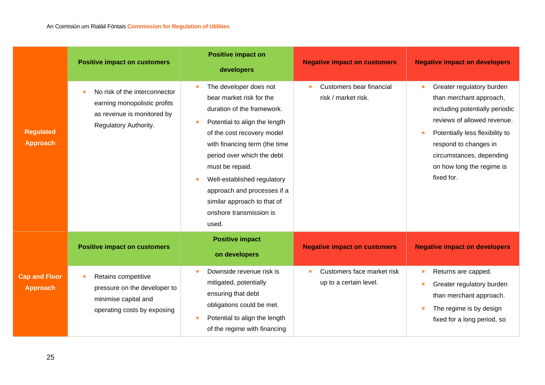|                                         | <b>Positive impact on customers</b>                                                                                     | <b>Positive impact on</b><br>developers                                                                                                                                                                                                                                                                                                                                         | <b>Negative impact on customers</b>                       | <b>Negative impact on developers</b>                                                                                                                                                                                                                                  |
|-----------------------------------------|-------------------------------------------------------------------------------------------------------------------------|---------------------------------------------------------------------------------------------------------------------------------------------------------------------------------------------------------------------------------------------------------------------------------------------------------------------------------------------------------------------------------|-----------------------------------------------------------|-----------------------------------------------------------------------------------------------------------------------------------------------------------------------------------------------------------------------------------------------------------------------|
| <b>Regulated</b><br><b>Approach</b>     | No risk of the interconnector<br>earning monopolistic profits<br>as revenue is monitored by<br>Regulatory Authority.    | The developer does not<br>$\bullet$<br>bear market risk for the<br>duration of the framework.<br>Potential to align the length<br>of the cost recovery model<br>with financing term (the time<br>period over which the debt<br>must be repaid.<br>Well-established regulatory<br>approach and processes if a<br>similar approach to that of<br>onshore transmission is<br>used. | Customers bear financial<br>۰<br>risk / market risk.      | Greater regulatory burden<br>$\bullet$<br>than merchant approach,<br>including potentially periodic<br>reviews of allowed revenue.<br>Potentially less flexibility to<br>respond to changes in<br>circumstances, depending<br>on how long the regime is<br>fixed for. |
|                                         | <b>Positive impact on customers</b>                                                                                     | <b>Positive impact</b><br>on developers                                                                                                                                                                                                                                                                                                                                         | <b>Negative impact on customers</b>                       | <b>Negative impact on developers</b>                                                                                                                                                                                                                                  |
| <b>Cap and Floor</b><br><b>Approach</b> | Retains competitive<br>$\bullet$<br>pressure on the developer to<br>minimise capital and<br>operating costs by exposing | Downside revenue risk is<br>mitigated, potentially<br>ensuring that debt<br>obligations could be met.<br>Potential to align the length<br>of the regime with financing                                                                                                                                                                                                          | Customers face market risk<br>٠<br>up to a certain level. | Returns are capped.<br>Greater regulatory burden<br>than merchant approach.<br>The regime is by design<br>fixed for a long period, so                                                                                                                                 |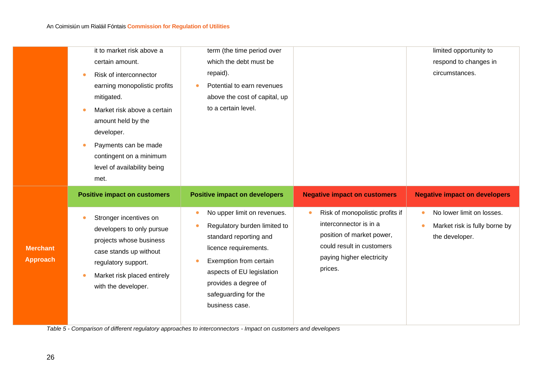| it to market risk above a                                                              |                                      |                                     |                                        |
|----------------------------------------------------------------------------------------|--------------------------------------|-------------------------------------|----------------------------------------|
|                                                                                        | term (the time period over           |                                     | limited opportunity to                 |
| certain amount.                                                                        | which the debt must be               |                                     | respond to changes in                  |
| Risk of interconnector<br>٠                                                            | repaid).                             |                                     | circumstances.                         |
| earning monopolistic profits                                                           | Potential to earn revenues           |                                     |                                        |
| mitigated.                                                                             | above the cost of capital, up        |                                     |                                        |
| Market risk above a certain<br>amount held by the<br>developer.                        | to a certain level.                  |                                     |                                        |
| Payments can be made<br>contingent on a minimum<br>level of availability being<br>met. |                                      |                                     |                                        |
| <b>Positive impact on customers</b>                                                    | <b>Positive impact on developers</b> | <b>Negative impact on customers</b> | <b>Negative impact on developers</b>   |
| Stronger incentives on                                                                 | No upper limit on revenues.          | Risk of monopolistic profits if     | No lower limit on losses.<br>$\bullet$ |

*Table 5 - Comparison of different regulatory approaches to interconnectors - Impact on customers and developers*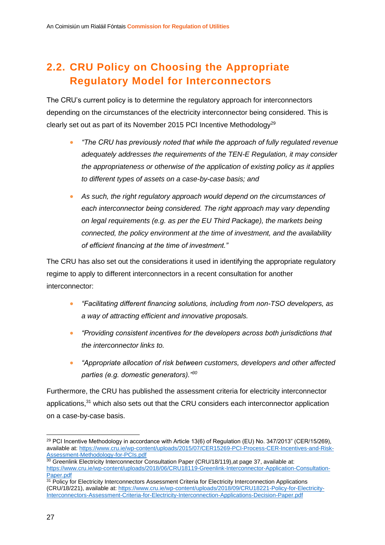## <span id="page-27-0"></span>**2.2. CRU Policy on Choosing the Appropriate Regulatory Model for Interconnectors**

The CRU's current policy is to determine the regulatory approach for interconnectors depending on the circumstances of the electricity interconnector being considered. This is clearly set out as part of its November 2015 PCI Incentive Methodology<sup>29</sup>

- *"The CRU has previously noted that while the approach of fully regulated revenue adequately addresses the requirements of the TEN-E Regulation, it may consider the appropriateness or otherwise of the application of existing policy as it applies to different types of assets on a case-by-case basis; and*
- *As such, the right regulatory approach would depend on the circumstances of*  each interconnector being considered. The right approach may vary depending *on legal requirements (e.g. as per the EU Third Package), the markets being connected, the policy environment at the time of investment, and the availability of efficient financing at the time of investment."*

The CRU has also set out the considerations it used in identifying the appropriate regulatory regime to apply to different interconnectors in a recent consultation for another interconnector:

- *"Facilitating different financing solutions, including from non-TSO developers, as a way of attracting efficient and innovative proposals.*
- *"Providing consistent incentives for the developers across both jurisdictions that the interconnector links to.*
- *"Appropriate allocation of risk between customers, developers and other affected parties (e.g. domestic generators)."<sup>30</sup>*

Furthermore, the CRU has published the assessment criteria for electricity interconnector applications,<sup>31</sup> which also sets out that the CRU considers each interconnector application on a case-by-case basis.

<sup>29</sup> PCI Incentive Methodology in accordance with Article 13(6) of Regulation (EU) No. 347/2013" (CER/15/269), available at[: https://www.cru.ie/wp-content/uploads/2015/07/CER15269-PCI-Process-CER-Incentives-and-Risk-](https://www.cru.ie/wp-content/uploads/2015/07/CER15269-PCI-Process-CER-Incentives-and-Risk-Assessment-Methodology-for-PCIs.pdf)[Assessment-Methodology-for-PCIs.pdf](https://www.cru.ie/wp-content/uploads/2015/07/CER15269-PCI-Process-CER-Incentives-and-Risk-Assessment-Methodology-for-PCIs.pdf)

 $30$  Greenlink Electricity Interconnector Consultation Paper (CRU/18/119), at page 37, available at: [https://www.cru.ie/wp-content/uploads/2018/06/CRU18119-Greenlink-Interconnector-Application-Consultation-](https://www.cru.ie/wp-content/uploads/2018/06/CRU18119-Greenlink-Interconnector-Application-Consultation-Paper.pdf)[Paper.pdf](https://www.cru.ie/wp-content/uploads/2018/06/CRU18119-Greenlink-Interconnector-Application-Consultation-Paper.pdf)

 $31$  Policy for Electricity Interconnectors Assessment Criteria for Electricity Interconnection Applications (CRU/18/221), available at: [https://www.cru.ie/wp-content/uploads/2018/09/CRU18221-Policy-for-Electricity-](https://www.cru.ie/wp-content/uploads/2018/09/CRU18221-Policy-for-Electricity-Interconnectors-Assessment-Criteria-for-Electricity-Interconnection-Applications-Decision-Paper.pdf)[Interconnectors-Assessment-Criteria-for-Electricity-Interconnection-Applications-Decision-Paper.pdf](https://www.cru.ie/wp-content/uploads/2018/09/CRU18221-Policy-for-Electricity-Interconnectors-Assessment-Criteria-for-Electricity-Interconnection-Applications-Decision-Paper.pdf)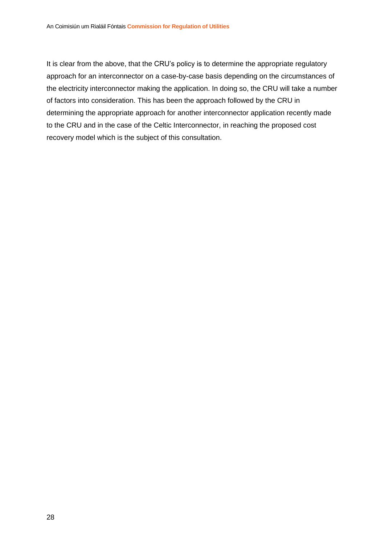It is clear from the above, that the CRU's policy is to determine the appropriate regulatory approach for an interconnector on a case-by-case basis depending on the circumstances of the electricity interconnector making the application. In doing so, the CRU will take a number of factors into consideration. This has been the approach followed by the CRU in determining the appropriate approach for another interconnector application recently made to the CRU and in the case of the Celtic Interconnector, in reaching the proposed cost recovery model which is the subject of this consultation.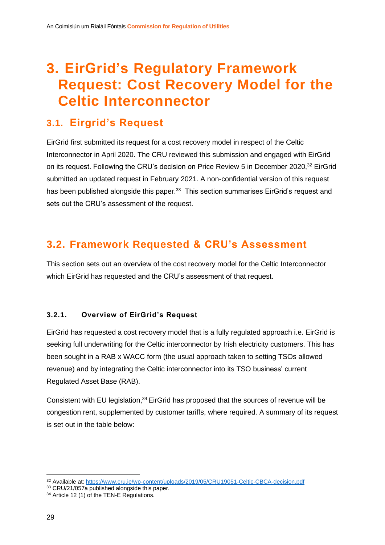## <span id="page-29-0"></span>**3. EirGrid's Regulatory Framework Request: Cost Recovery Model for the Celtic Interconnector**

### <span id="page-29-1"></span>**3.1. Eirgrid's Request**

EirGrid first submitted its request for a cost recovery model in respect of the Celtic Interconnector in April 2020. The CRU reviewed this submission and engaged with EirGrid on its request. Following the CRU's decision on Price Review 5 in December 2020,<sup>32</sup> EirGrid submitted an updated request in February 2021. A non-confidential version of this request has been published alongside this paper.<sup>33</sup> This section summarises EirGrid's request and sets out the CRU's assessment of the request.

## <span id="page-29-2"></span>**3.2. Framework Requested & CRU's Assessment**

This section sets out an overview of the cost recovery model for the Celtic Interconnector which EirGrid has requested and the CRU's assessment of that request.

#### **3.2.1. Overview of EirGrid's Request**

EirGrid has requested a cost recovery model that is a fully regulated approach i.e. EirGrid is seeking full underwriting for the Celtic interconnector by Irish electricity customers. This has been sought in a RAB x WACC form (the usual approach taken to setting TSOs allowed revenue) and by integrating the Celtic interconnector into its TSO business' current Regulated Asset Base (RAB).

Consistent with EU legislation, <sup>34</sup> EirGrid has proposed that the sources of revenue will be congestion rent, supplemented by customer tariffs, where required. A summary of its request is set out in the table below:

<sup>32</sup> Available at[: https://www.cru.ie/wp-content/uploads/2019/05/CRU19051-Celtic-CBCA-decision.pdf](https://www.cru.ie/wp-content/uploads/2019/05/CRU19051-Celtic-CBCA-decision.pdf)

<sup>33</sup> CRU/21/057a published alongside this paper.

<sup>&</sup>lt;sup>34</sup> Article 12 (1) of the TEN-E Regulations.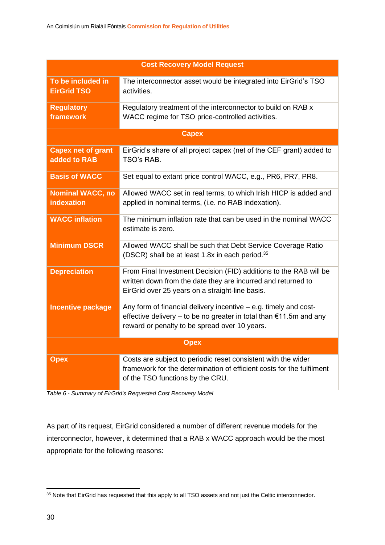| <b>Cost Recovery Model Request</b>           |                                                                                                                                                                                           |  |
|----------------------------------------------|-------------------------------------------------------------------------------------------------------------------------------------------------------------------------------------------|--|
| To be included in<br><b>EirGrid TSO</b>      | The interconnector asset would be integrated into EirGrid's TSO<br>activities.                                                                                                            |  |
| <b>Regulatory</b><br>framework               | Regulatory treatment of the interconnector to build on RAB x<br>WACC regime for TSO price-controlled activities.                                                                          |  |
|                                              | <b>Capex</b>                                                                                                                                                                              |  |
| <b>Capex net of grant</b><br>added to RAB    | EirGrid's share of all project capex (net of the CEF grant) added to<br>TSO's RAB.                                                                                                        |  |
| <b>Basis of WACC</b>                         | Set equal to extant price control WACC, e.g., PR6, PR7, PR8.                                                                                                                              |  |
| <b>Nominal WACC, no</b><br><b>indexation</b> | Allowed WACC set in real terms, to which Irish HICP is added and<br>applied in nominal terms, (i.e. no RAB indexation).                                                                   |  |
| <b>WACC</b> inflation                        | The minimum inflation rate that can be used in the nominal WACC<br>estimate is zero.                                                                                                      |  |
| <b>Minimum DSCR</b>                          | Allowed WACC shall be such that Debt Service Coverage Ratio<br>(DSCR) shall be at least 1.8x in each period. <sup>35</sup>                                                                |  |
| <b>Depreciation</b>                          | From Final Investment Decision (FID) additions to the RAB will be<br>written down from the date they are incurred and returned to<br>EirGrid over 25 years on a straight-line basis.      |  |
| <b>Incentive package</b>                     | Any form of financial delivery incentive $-$ e.g. timely and cost-<br>effective delivery – to be no greater in total than €11.5m and any<br>reward or penalty to be spread over 10 years. |  |
| <b>Opex</b>                                  |                                                                                                                                                                                           |  |
| <b>Opex</b>                                  | Costs are subject to periodic reset consistent with the wider<br>framework for the determination of efficient costs for the fulfilment<br>of the TSO functions by the CRU.                |  |

*Table 6 - Summary of EirGrid's Requested Cost Recovery Model*

As part of its request, EirGrid considered a number of different revenue models for the interconnector, however, it determined that a RAB x WACC approach would be the most appropriate for the following reasons:

<sup>&</sup>lt;sup>35</sup> Note that EirGrid has requested that this apply to all TSO assets and not just the Celtic interconnector.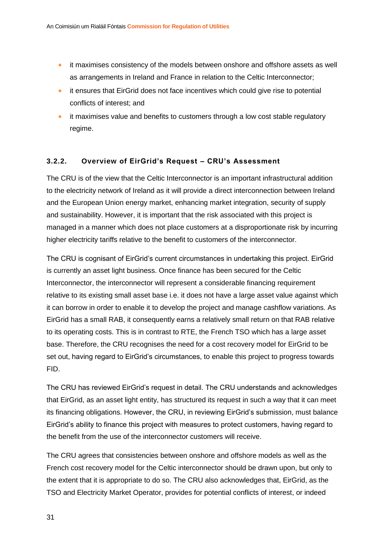- it maximises consistency of the models between onshore and offshore assets as well as arrangements in Ireland and France in relation to the Celtic Interconnector;
- it ensures that EirGrid does not face incentives which could give rise to potential conflicts of interest; and
- it maximises value and benefits to customers through a low cost stable regulatory regime.

#### **3.2.2. Overview of EirGrid's Request – CRU's Assessment**

The CRU is of the view that the Celtic Interconnector is an important infrastructural addition to the electricity network of Ireland as it will provide a direct interconnection between Ireland and the European Union energy market, enhancing market integration, security of supply and sustainability. However, it is important that the risk associated with this project is managed in a manner which does not place customers at a disproportionate risk by incurring higher electricity tariffs relative to the benefit to customers of the interconnector.

The CRU is cognisant of EirGrid's current circumstances in undertaking this project. EirGrid is currently an asset light business. Once finance has been secured for the Celtic Interconnector, the interconnector will represent a considerable financing requirement relative to its existing small asset base i.e. it does not have a large asset value against which it can borrow in order to enable it to develop the project and manage cashflow variations. As EirGrid has a small RAB, it consequently earns a relatively small return on that RAB relative to its operating costs. This is in contrast to RTE, the French TSO which has a large asset base. Therefore, the CRU recognises the need for a cost recovery model for EirGrid to be set out, having regard to EirGrid's circumstances, to enable this project to progress towards FID.

The CRU has reviewed EirGrid's request in detail. The CRU understands and acknowledges that EirGrid, as an asset light entity, has structured its request in such a way that it can meet its financing obligations. However, the CRU, in reviewing EirGrid's submission, must balance EirGrid's ability to finance this project with measures to protect customers, having regard to the benefit from the use of the interconnector customers will receive.

The CRU agrees that consistencies between onshore and offshore models as well as the French cost recovery model for the Celtic interconnector should be drawn upon, but only to the extent that it is appropriate to do so. The CRU also acknowledges that, EirGrid, as the TSO and Electricity Market Operator, provides for potential conflicts of interest, or indeed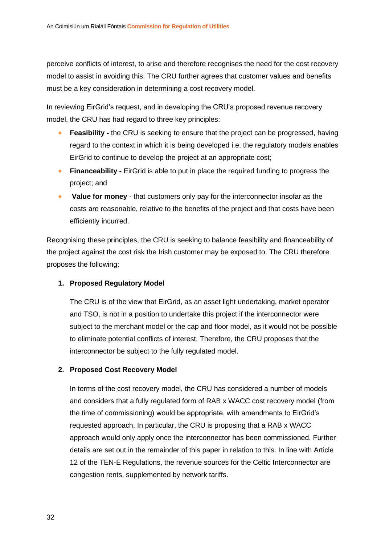perceive conflicts of interest, to arise and therefore recognises the need for the cost recovery model to assist in avoiding this. The CRU further agrees that customer values and benefits must be a key consideration in determining a cost recovery model.

In reviewing EirGrid's request, and in developing the CRU's proposed revenue recovery model, the CRU has had regard to three key principles:

- **Feasibility -** the CRU is seeking to ensure that the project can be progressed, having regard to the context in which it is being developed i.e. the regulatory models enables EirGrid to continue to develop the project at an appropriate cost;
- **Financeability** EirGrid is able to put in place the required funding to progress the project; and
- **Value for money**  that customers only pay for the interconnector insofar as the costs are reasonable, relative to the benefits of the project and that costs have been efficiently incurred.

Recognising these principles, the CRU is seeking to balance feasibility and financeability of the project against the cost risk the Irish customer may be exposed to. The CRU therefore proposes the following:

#### **1. Proposed Regulatory Model**

The CRU is of the view that EirGrid, as an asset light undertaking, market operator and TSO, is not in a position to undertake this project if the interconnector were subject to the merchant model or the cap and floor model, as it would not be possible to eliminate potential conflicts of interest. Therefore, the CRU proposes that the interconnector be subject to the fully regulated model.

#### **2. Proposed Cost Recovery Model**

In terms of the cost recovery model, the CRU has considered a number of models and considers that a fully regulated form of RAB x WACC cost recovery model (from the time of commissioning) would be appropriate, with amendments to EirGrid's requested approach. In particular, the CRU is proposing that a RAB x WACC approach would only apply once the interconnector has been commissioned. Further details are set out in the remainder of this paper in relation to this. In line with Article 12 of the TEN-E Regulations, the revenue sources for the Celtic Interconnector are congestion rents, supplemented by network tariffs.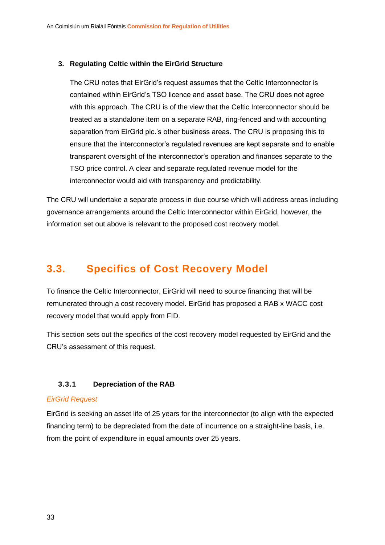#### **3. Regulating Celtic within the EirGrid Structure**

The CRU notes that EirGrid's request assumes that the Celtic Interconnector is contained within EirGrid's TSO licence and asset base. The CRU does not agree with this approach. The CRU is of the view that the Celtic Interconnector should be treated as a standalone item on a separate RAB, ring-fenced and with accounting separation from EirGrid plc.'s other business areas. The CRU is proposing this to ensure that the interconnector's regulated revenues are kept separate and to enable transparent oversight of the interconnector's operation and finances separate to the TSO price control. A clear and separate regulated revenue model for the interconnector would aid with transparency and predictability.

The CRU will undertake a separate process in due course which will address areas including governance arrangements around the Celtic Interconnector within EirGrid, however, the information set out above is relevant to the proposed cost recovery model.

### <span id="page-33-0"></span>**3.3. Specifics of Cost Recovery Model**

To finance the Celtic Interconnector, EirGrid will need to source financing that will be remunerated through a cost recovery model. EirGrid has proposed a RAB x WACC cost recovery model that would apply from FID.

This section sets out the specifics of the cost recovery model requested by EirGrid and the CRU's assessment of this request.

#### **3.3.1 Depreciation of the RAB**

#### *EirGrid Request*

EirGrid is seeking an asset life of 25 years for the interconnector (to align with the expected financing term) to be depreciated from the date of incurrence on a straight-line basis, i.e. from the point of expenditure in equal amounts over 25 years.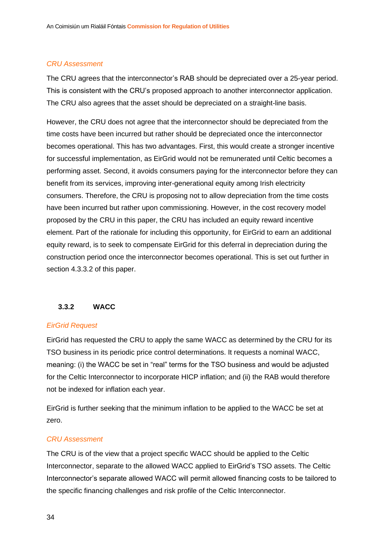#### *CRU Assessment*

The CRU agrees that the interconnector's RAB should be depreciated over a 25-year period. This is consistent with the CRU's proposed approach to another interconnector application. The CRU also agrees that the asset should be depreciated on a straight-line basis.

However, the CRU does not agree that the interconnector should be depreciated from the time costs have been incurred but rather should be depreciated once the interconnector becomes operational. This has two advantages. First, this would create a stronger incentive for successful implementation, as EirGrid would not be remunerated until Celtic becomes a performing asset. Second, it avoids consumers paying for the interconnector before they can benefit from its services, improving inter-generational equity among Irish electricity consumers. Therefore, the CRU is proposing not to allow depreciation from the time costs have been incurred but rather upon commissioning. However, in the cost recovery model proposed by the CRU in this paper, the CRU has included an equity reward incentive element. Part of the rationale for including this opportunity, for EirGrid to earn an additional equity reward, is to seek to compensate EirGrid for this deferral in depreciation during the construction period once the interconnector becomes operational. This is set out further in section 4.3.3.2 of this paper.

#### **3.3.2 WACC**

#### *EirGrid Request*

EirGrid has requested the CRU to apply the same WACC as determined by the CRU for its TSO business in its periodic price control determinations. It requests a nominal WACC, meaning: (i) the WACC be set in "real" terms for the TSO business and would be adjusted for the Celtic Interconnector to incorporate HICP inflation; and (ii) the RAB would therefore not be indexed for inflation each year.

EirGrid is further seeking that the minimum inflation to be applied to the WACC be set at zero.

#### *CRU Assessment*

The CRU is of the view that a project specific WACC should be applied to the Celtic Interconnector, separate to the allowed WACC applied to EirGrid's TSO assets. The Celtic Interconnector's separate allowed WACC will permit allowed financing costs to be tailored to the specific financing challenges and risk profile of the Celtic Interconnector.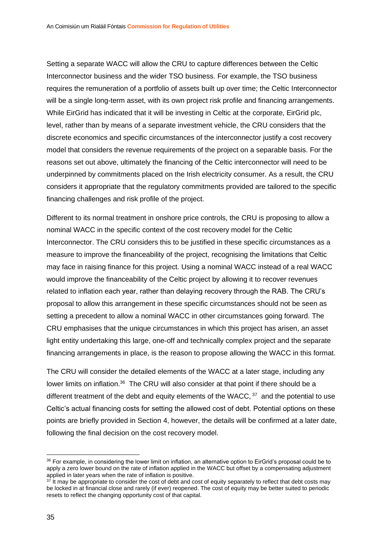Setting a separate WACC will allow the CRU to capture differences between the Celtic Interconnector business and the wider TSO business. For example, the TSO business requires the remuneration of a portfolio of assets built up over time; the Celtic Interconnector will be a single long-term asset, with its own project risk profile and financing arrangements. While EirGrid has indicated that it will be investing in Celtic at the corporate, EirGrid plc, level, rather than by means of a separate investment vehicle, the CRU considers that the discrete economics and specific circumstances of the interconnector justify a cost recovery model that considers the revenue requirements of the project on a separable basis. For the reasons set out above, ultimately the financing of the Celtic interconnector will need to be underpinned by commitments placed on the Irish electricity consumer. As a result, the CRU considers it appropriate that the regulatory commitments provided are tailored to the specific financing challenges and risk profile of the project.

Different to its normal treatment in onshore price controls, the CRU is proposing to allow a nominal WACC in the specific context of the cost recovery model for the Celtic Interconnector. The CRU considers this to be justified in these specific circumstances as a measure to improve the financeability of the project, recognising the limitations that Celtic may face in raising finance for this project. Using a nominal WACC instead of a real WACC would improve the financeability of the Celtic project by allowing it to recover revenues related to inflation each year, rather than delaying recovery through the RAB. The CRU's proposal to allow this arrangement in these specific circumstances should not be seen as setting a precedent to allow a nominal WACC in other circumstances going forward. The CRU emphasises that the unique circumstances in which this project has arisen, an asset light entity undertaking this large, one-off and technically complex project and the separate financing arrangements in place, is the reason to propose allowing the WACC in this format.

The CRU will consider the detailed elements of the WACC at a later stage, including any lower limits on inflation.<sup>36</sup> The CRU will also consider at that point if there should be a different treatment of the debt and equity elements of the WACC,  $37$  and the potential to use Celtic's actual financing costs for setting the allowed cost of debt. Potential options on these points are briefly provided in Section 4, however, the details will be confirmed at a later date, following the final decision on the cost recovery model.

<sup>&</sup>lt;sup>36</sup> For example, in considering the lower limit on inflation, an alternative option to EirGrid's proposal could be to apply a zero lower bound on the rate of inflation applied in the WACC but offset by a compensating adjustment applied in later years when the rate of inflation is positive.

 $37$  It may be appropriate to consider the cost of debt and cost of equity separately to reflect that debt costs may be locked in at financial close and rarely (if ever) reopened. The cost of equity may be better suited to periodic resets to reflect the changing opportunity cost of that capital.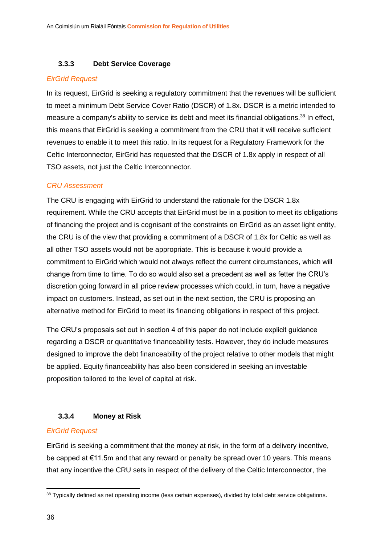#### **3.3.3 Debt Service Coverage**

#### *EirGrid Request*

In its request, EirGrid is seeking a regulatory commitment that the revenues will be sufficient to meet a minimum Debt Service Cover Ratio (DSCR) of 1.8x. DSCR is a metric intended to measure a company's ability to service its debt and meet its financial obligations.<sup>38</sup> In effect, this means that EirGrid is seeking a commitment from the CRU that it will receive sufficient revenues to enable it to meet this ratio. In its request for a Regulatory Framework for the Celtic Interconnector, EirGrid has requested that the DSCR of 1.8x apply in respect of all TSO assets, not just the Celtic Interconnector.

#### *CRU Assessment*

The CRU is engaging with EirGrid to understand the rationale for the DSCR 1.8x requirement. While the CRU accepts that EirGrid must be in a position to meet its obligations of financing the project and is cognisant of the constraints on EirGrid as an asset light entity, the CRU is of the view that providing a commitment of a DSCR of 1.8x for Celtic as well as all other TSO assets would not be appropriate. This is because it would provide a commitment to EirGrid which would not always reflect the current circumstances, which will change from time to time. To do so would also set a precedent as well as fetter the CRU's discretion going forward in all price review processes which could, in turn, have a negative impact on customers. Instead, as set out in the next section, the CRU is proposing an alternative method for EirGrid to meet its financing obligations in respect of this project.

The CRU's proposals set out in section 4 of this paper do not include explicit guidance regarding a DSCR or quantitative financeability tests. However, they do include measures designed to improve the debt financeability of the project relative to other models that might be applied. Equity financeability has also been considered in seeking an investable proposition tailored to the level of capital at risk.

#### **3.3.4 Money at Risk**

#### *EirGrid Request*

EirGrid is seeking a commitment that the money at risk, in the form of a delivery incentive, be capped at €11.5m and that any reward or penalty be spread over 10 years. This means that any incentive the CRU sets in respect of the delivery of the Celtic Interconnector, the

<sup>38</sup> Typically defined as net operating income (less certain expenses), divided by total debt service obligations.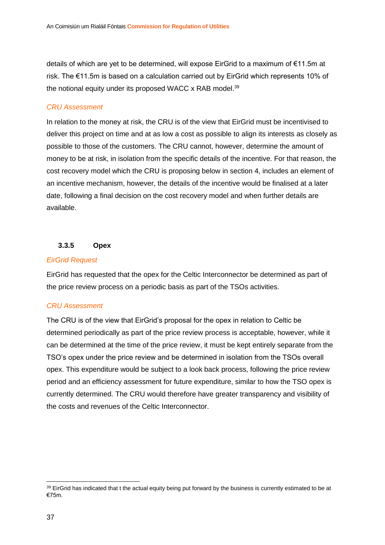details of which are yet to be determined, will expose EirGrid to a maximum of €11.5m at risk. The €11.5m is based on a calculation carried out by EirGrid which represents 10% of the notional equity under its proposed WACC x RAB model.<sup>39</sup>

#### *CRU Assessment*

In relation to the money at risk, the CRU is of the view that EirGrid must be incentivised to deliver this project on time and at as low a cost as possible to align its interests as closely as possible to those of the customers. The CRU cannot, however, determine the amount of money to be at risk, in isolation from the specific details of the incentive. For that reason, the cost recovery model which the CRU is proposing below in section 4, includes an element of an incentive mechanism, however, the details of the incentive would be finalised at a later date, following a final decision on the cost recovery model and when further details are available.

#### **3.3.5 Opex**

#### *EirGrid Request*

EirGrid has requested that the opex for the Celtic Interconnector be determined as part of the price review process on a periodic basis as part of the TSOs activities.

#### *CRU Assessment*

The CRU is of the view that EirGrid's proposal for the opex in relation to Celtic be determined periodically as part of the price review process is acceptable, however, while it can be determined at the time of the price review, it must be kept entirely separate from the TSO's opex under the price review and be determined in isolation from the TSOs overall opex. This expenditure would be subject to a look back process, following the price review period and an efficiency assessment for future expenditure, similar to how the TSO opex is currently determined. The CRU would therefore have greater transparency and visibility of the costs and revenues of the Celtic Interconnector.

<sup>&</sup>lt;sup>39</sup> EirGrid has indicated that t the actual equity being put forward by the business is currently estimated to be at €75m.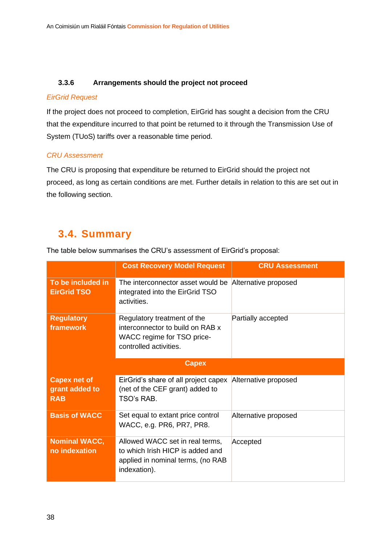#### **3.3.6 Arrangements should the project not proceed**

#### *EirGrid Request*

If the project does not proceed to completion, EirGrid has sought a decision from the CRU that the expenditure incurred to that point be returned to it through the Transmission Use of System (TUoS) tariffs over a reasonable time period.

#### *CRU Assessment*

The CRU is proposing that expenditure be returned to EirGrid should the project not proceed, as long as certain conditions are met. Further details in relation to this are set out in the following section.

### <span id="page-38-0"></span>**3.4. Summary**

The table below summarises the CRU's assessment of EirGrid's proposal:

|                                                     | <b>Cost Recovery Model Request</b>                                                                                       | <b>CRU Assessment</b> |
|-----------------------------------------------------|--------------------------------------------------------------------------------------------------------------------------|-----------------------|
| To be included in<br><b>EirGrid TSO</b>             | The interconnector asset would be<br>integrated into the EirGrid TSO<br>activities.                                      | Alternative proposed  |
| <b>Regulatory</b><br>framework                      | Regulatory treatment of the<br>interconnector to build on RAB x<br>WACC regime for TSO price-<br>controlled activities.  | Partially accepted    |
|                                                     | <b>Capex</b>                                                                                                             |                       |
| <b>Capex net of</b><br>grant added to<br><b>RAB</b> | EirGrid's share of all project capex<br>(net of the CEF grant) added to<br>TSO's RAB.                                    | Alternative proposed  |
| <b>Basis of WACC</b>                                | Set equal to extant price control<br>WACC, e.g. PR6, PR7, PR8.                                                           | Alternative proposed  |
| <b>Nominal WACC,</b><br>no indexation               | Allowed WACC set in real terms,<br>to which Irish HICP is added and<br>applied in nominal terms, (no RAB<br>indexation). | Accepted              |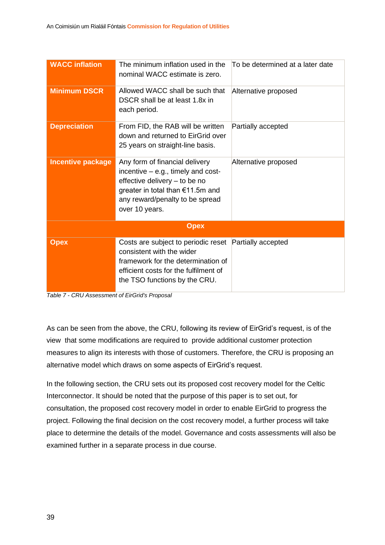| <b>WACC</b> inflation    | The minimum inflation used in the<br>nominal WACC estimate is zero.                                                                                                                              | To be determined at a later date |  |  |  |
|--------------------------|--------------------------------------------------------------------------------------------------------------------------------------------------------------------------------------------------|----------------------------------|--|--|--|
| <b>Minimum DSCR</b>      | Allowed WACC shall be such that<br>DSCR shall be at least 1.8x in<br>each period.                                                                                                                | Alternative proposed             |  |  |  |
| <b>Depreciation</b>      | From FID, the RAB will be written<br>down and returned to EirGrid over<br>25 years on straight-line basis.                                                                                       | Partially accepted               |  |  |  |
| <b>Incentive package</b> | Any form of financial delivery<br>incentive $-$ e.g., timely and cost-<br>effective delivery - to be no<br>greater in total than €11.5m and<br>any reward/penalty to be spread<br>over 10 years. | Alternative proposed             |  |  |  |
| <b>Opex</b>              |                                                                                                                                                                                                  |                                  |  |  |  |
| <b>Opex</b>              | Costs are subject to periodic reset<br>consistent with the wider<br>framework for the determination of<br>efficient costs for the fulfilment of<br>the TSO functions by the CRU.                 | Partially accepted               |  |  |  |



As can be seen from the above, the CRU, following its review of EirGrid's request, is of the view that some modifications are required to provide additional customer protection measures to align its interests with those of customers. Therefore, the CRU is proposing an alternative model which draws on some aspects of EirGrid's request.

In the following section, the CRU sets out its proposed cost recovery model for the Celtic Interconnector. It should be noted that the purpose of this paper is to set out, for consultation, the proposed cost recovery model in order to enable EirGrid to progress the project. Following the final decision on the cost recovery model, a further process will take place to determine the details of the model. Governance and costs assessments will also be examined further in a separate process in due course.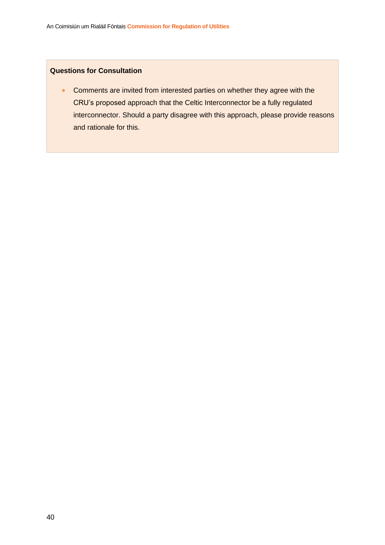#### **Questions for Consultation**

• Comments are invited from interested parties on whether they agree with the CRU's proposed approach that the Celtic Interconnector be a fully regulated interconnector. Should a party disagree with this approach, please provide reasons and rationale for this.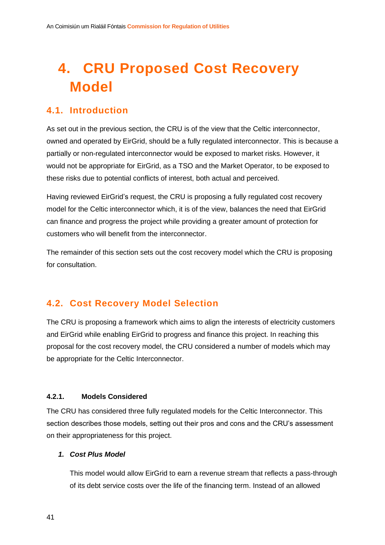## <span id="page-41-0"></span>**4. CRU Proposed Cost Recovery Model**

### <span id="page-41-1"></span>**4.1. Introduction**

As set out in the previous section, the CRU is of the view that the Celtic interconnector, owned and operated by EirGrid, should be a fully regulated interconnector. This is because a partially or non-regulated interconnector would be exposed to market risks. However, it would not be appropriate for EirGrid, as a TSO and the Market Operator, to be exposed to these risks due to potential conflicts of interest, both actual and perceived.

Having reviewed EirGrid's request, the CRU is proposing a fully regulated cost recovery model for the Celtic interconnector which, it is of the view, balances the need that EirGrid can finance and progress the project while providing a greater amount of protection for customers who will benefit from the interconnector.

The remainder of this section sets out the cost recovery model which the CRU is proposing for consultation.

### <span id="page-41-2"></span>**4.2. Cost Recovery Model Selection**

The CRU is proposing a framework which aims to align the interests of electricity customers and EirGrid while enabling EirGrid to progress and finance this project. In reaching this proposal for the cost recovery model, the CRU considered a number of models which may be appropriate for the Celtic Interconnector.

#### **4.2.1. Models Considered**

The CRU has considered three fully regulated models for the Celtic Interconnector. This section describes those models, setting out their pros and cons and the CRU's assessment on their appropriateness for this project.

#### *1. Cost Plus Model*

This model would allow EirGrid to earn a revenue stream that reflects a pass-through of its debt service costs over the life of the financing term. Instead of an allowed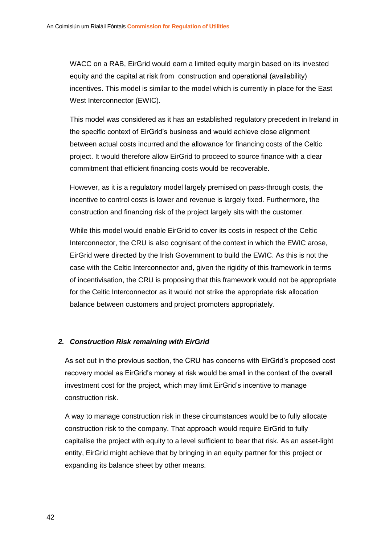WACC on a RAB, EirGrid would earn a limited equity margin based on its invested equity and the capital at risk from construction and operational (availability) incentives. This model is similar to the model which is currently in place for the East West Interconnector (EWIC).

This model was considered as it has an established regulatory precedent in Ireland in the specific context of EirGrid's business and would achieve close alignment between actual costs incurred and the allowance for financing costs of the Celtic project. It would therefore allow EirGrid to proceed to source finance with a clear commitment that efficient financing costs would be recoverable.

However, as it is a regulatory model largely premised on pass-through costs, the incentive to control costs is lower and revenue is largely fixed. Furthermore, the construction and financing risk of the project largely sits with the customer.

While this model would enable EirGrid to cover its costs in respect of the Celtic Interconnector, the CRU is also cognisant of the context in which the EWIC arose, EirGrid were directed by the Irish Government to build the EWIC. As this is not the case with the Celtic Interconnector and, given the rigidity of this framework in terms of incentivisation, the CRU is proposing that this framework would not be appropriate for the Celtic Interconnector as it would not strike the appropriate risk allocation balance between customers and project promoters appropriately.

#### *2. Construction Risk remaining with EirGrid*

As set out in the previous section, the CRU has concerns with EirGrid's proposed cost recovery model as EirGrid's money at risk would be small in the context of the overall investment cost for the project, which may limit EirGrid's incentive to manage construction risk.

A way to manage construction risk in these circumstances would be to fully allocate construction risk to the company. That approach would require EirGrid to fully capitalise the project with equity to a level sufficient to bear that risk. As an asset-light entity, EirGrid might achieve that by bringing in an equity partner for this project or expanding its balance sheet by other means.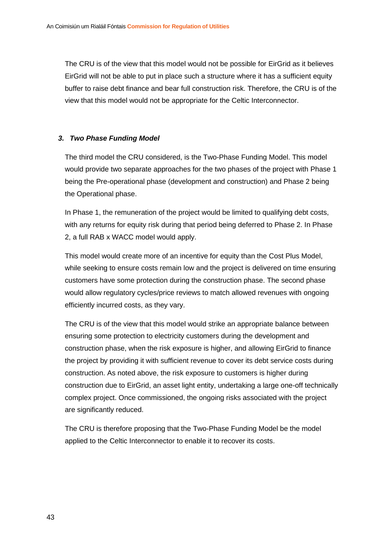The CRU is of the view that this model would not be possible for EirGrid as it believes EirGrid will not be able to put in place such a structure where it has a sufficient equity buffer to raise debt finance and bear full construction risk. Therefore, the CRU is of the view that this model would not be appropriate for the Celtic Interconnector.

#### *3. Two Phase Funding Model*

The third model the CRU considered, is the Two-Phase Funding Model. This model would provide two separate approaches for the two phases of the project with Phase 1 being the Pre-operational phase (development and construction) and Phase 2 being the Operational phase.

In Phase 1, the remuneration of the project would be limited to qualifying debt costs, with any returns for equity risk during that period being deferred to Phase 2. In Phase 2, a full RAB x WACC model would apply.

This model would create more of an incentive for equity than the Cost Plus Model, while seeking to ensure costs remain low and the project is delivered on time ensuring customers have some protection during the construction phase. The second phase would allow regulatory cycles/price reviews to match allowed revenues with ongoing efficiently incurred costs, as they vary.

The CRU is of the view that this model would strike an appropriate balance between ensuring some protection to electricity customers during the development and construction phase, when the risk exposure is higher, and allowing EirGrid to finance the project by providing it with sufficient revenue to cover its debt service costs during construction. As noted above, the risk exposure to customers is higher during construction due to EirGrid, an asset light entity, undertaking a large one-off technically complex project. Once commissioned, the ongoing risks associated with the project are significantly reduced.

The CRU is therefore proposing that the Two-Phase Funding Model be the model applied to the Celtic Interconnector to enable it to recover its costs.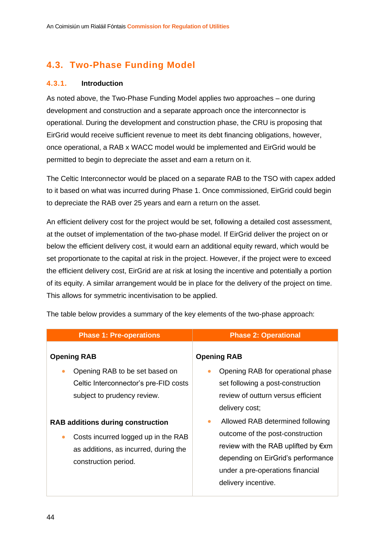### <span id="page-44-0"></span>**4.3. Two-Phase Funding Model**

#### **4.3.1. Introduction**

As noted above, the Two-Phase Funding Model applies two approaches – one during development and construction and a separate approach once the interconnector is operational. During the development and construction phase, the CRU is proposing that EirGrid would receive sufficient revenue to meet its debt financing obligations, however, once operational, a RAB x WACC model would be implemented and EirGrid would be permitted to begin to depreciate the asset and earn a return on it.

The Celtic Interconnector would be placed on a separate RAB to the TSO with capex added to it based on what was incurred during Phase 1. Once commissioned, EirGrid could begin to depreciate the RAB over 25 years and earn a return on the asset.

An efficient delivery cost for the project would be set, following a detailed cost assessment, at the outset of implementation of the two-phase model. If EirGrid deliver the project on or below the efficient delivery cost, it would earn an additional equity reward, which would be set proportionate to the capital at risk in the project. However, if the project were to exceed the efficient delivery cost, EirGrid are at risk at losing the incentive and potentially a portion of its equity. A similar arrangement would be in place for the delivery of the project on time. This allows for symmetric incentivisation to be applied.

| <b>Phase 1: Pre-operations</b>                                                                                                                                                        | <b>Phase 2: Operational</b>                                                                                                                                                                           |  |  |  |
|---------------------------------------------------------------------------------------------------------------------------------------------------------------------------------------|-------------------------------------------------------------------------------------------------------------------------------------------------------------------------------------------------------|--|--|--|
| <b>Opening RAB</b><br>Opening RAB to be set based on<br>$\bullet$<br>Celtic Interconnector's pre-FID costs<br>subject to prudency review.<br><b>RAB additions during construction</b> | <b>Opening RAB</b><br>Opening RAB for operational phase<br>set following a post-construction<br>review of outturn versus efficient<br>delivery cost;<br>Allowed RAB determined following<br>$\bullet$ |  |  |  |
| Costs incurred logged up in the RAB<br>$\bullet$<br>as additions, as incurred, during the<br>construction period.                                                                     | outcome of the post-construction<br>review with the RAB uplifted by $\notin$ xm<br>depending on EirGrid's performance<br>under a pre-operations financial<br>delivery incentive.                      |  |  |  |

The table below provides a summary of the key elements of the two-phase approach: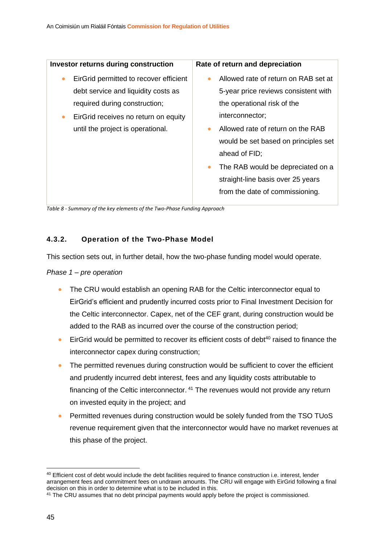| <b>Investor returns during construction</b>                                                                                                                                                              | Rate of return and depreciation                                                                                                                                                                                                                                                                                                                                                  |
|----------------------------------------------------------------------------------------------------------------------------------------------------------------------------------------------------------|----------------------------------------------------------------------------------------------------------------------------------------------------------------------------------------------------------------------------------------------------------------------------------------------------------------------------------------------------------------------------------|
| EirGrid permitted to recover efficient<br>$\bullet$<br>debt service and liquidity costs as<br>required during construction;<br>EirGrid receives no return on equity<br>until the project is operational. | Allowed rate of return on RAB set at<br>$\bullet$<br>5-year price reviews consistent with<br>the operational risk of the<br>interconnector;<br>Allowed rate of return on the RAB<br>$\bullet$<br>would be set based on principles set<br>ahead of FID;<br>The RAB would be depreciated on a<br>$\bullet$<br>straight-line basis over 25 years<br>from the date of commissioning. |
|                                                                                                                                                                                                          |                                                                                                                                                                                                                                                                                                                                                                                  |

*Table 8 - Summary of the key elements of the Two-Phase Funding Approach*

#### **4.3.2. Operation of the Two-Phase Model**

This section sets out, in further detail, how the two-phase funding model would operate.

#### *Phase 1 – pre operation*

- The CRU would establish an opening RAB for the Celtic interconnector equal to EirGrid's efficient and prudently incurred costs prior to Final Investment Decision for the Celtic interconnector. Capex, net of the CEF grant, during construction would be added to the RAB as incurred over the course of the construction period;
- $\bullet$  EirGrid would be permitted to recover its efficient costs of debt<sup>40</sup> raised to finance the interconnector capex during construction;
- The permitted revenues during construction would be sufficient to cover the efficient and prudently incurred debt interest, fees and any liquidity costs attributable to financing of the Celtic interconnector. <sup>41</sup> The revenues would not provide any return on invested equity in the project; and
- Permitted revenues during construction would be solely funded from the TSO TUoS revenue requirement given that the interconnector would have no market revenues at this phase of the project.

<sup>40</sup> Efficient cost of debt would include the debt facilities required to finance construction i.e. interest, lender arrangement fees and commitment fees on undrawn amounts. The CRU will engage with EirGrid following a final decision on this in order to determine what is to be included in this.

<sup>&</sup>lt;sup>41</sup> The CRU assumes that no debt principal payments would apply before the project is commissioned.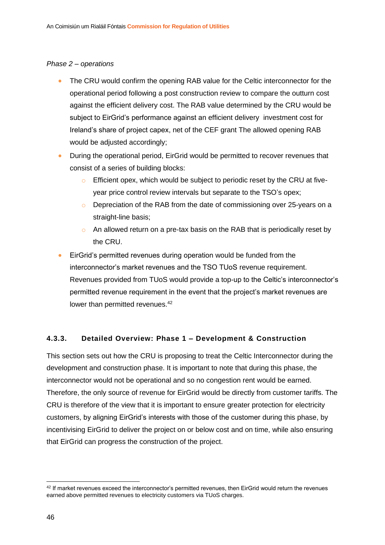#### *Phase 2 – operations*

- The CRU would confirm the opening RAB value for the Celtic interconnector for the operational period following a post construction review to compare the outturn cost against the efficient delivery cost. The RAB value determined by the CRU would be subject to EirGrid's performance against an efficient delivery investment cost for Ireland's share of project capex, net of the CEF grant The allowed opening RAB would be adjusted accordingly;
- During the operational period, EirGrid would be permitted to recover revenues that consist of a series of building blocks:
	- o Efficient opex, which would be subject to periodic reset by the CRU at fiveyear price control review intervals but separate to the TSO's opex;
	- o Depreciation of the RAB from the date of commissioning over 25-years on a straight-line basis;
	- o An allowed return on a pre-tax basis on the RAB that is periodically reset by the CRU.
- EirGrid's permitted revenues during operation would be funded from the interconnector's market revenues and the TSO TUoS revenue requirement. Revenues provided from TUoS would provide a top-up to the Celtic's interconnector's permitted revenue requirement in the event that the project's market revenues are lower than permitted revenues.<sup>42</sup>

#### **4.3.3. Detailed Overview: Phase 1 – Development & Construction**

This section sets out how the CRU is proposing to treat the Celtic Interconnector during the development and construction phase. It is important to note that during this phase, the interconnector would not be operational and so no congestion rent would be earned. Therefore, the only source of revenue for EirGrid would be directly from customer tariffs. The CRU is therefore of the view that it is important to ensure greater protection for electricity customers, by aligning EirGrid's interests with those of the customer during this phase, by incentivising EirGrid to deliver the project on or below cost and on time, while also ensuring that EirGrid can progress the construction of the project.

<sup>42</sup> If market revenues exceed the interconnector's permitted revenues, then EirGrid would return the revenues earned above permitted revenues to electricity customers via TUoS charges.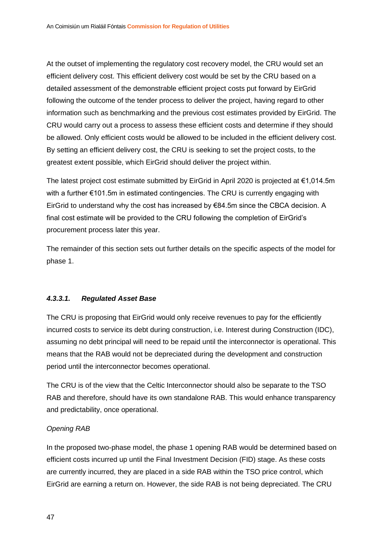At the outset of implementing the regulatory cost recovery model, the CRU would set an efficient delivery cost. This efficient delivery cost would be set by the CRU based on a detailed assessment of the demonstrable efficient project costs put forward by EirGrid following the outcome of the tender process to deliver the project, having regard to other information such as benchmarking and the previous cost estimates provided by EirGrid. The CRU would carry out a process to assess these efficient costs and determine if they should be allowed. Only efficient costs would be allowed to be included in the efficient delivery cost. By setting an efficient delivery cost, the CRU is seeking to set the project costs, to the greatest extent possible, which EirGrid should deliver the project within.

The latest project cost estimate submitted by EirGrid in April 2020 is projected at €1,014.5m with a further €101.5m in estimated contingencies. The CRU is currently engaging with EirGrid to understand why the cost has increased by €84.5m since the CBCA decision. A final cost estimate will be provided to the CRU following the completion of EirGrid's procurement process later this year.

The remainder of this section sets out further details on the specific aspects of the model for phase 1.

#### *4.3.3.1. Regulated Asset Base*

The CRU is proposing that EirGrid would only receive revenues to pay for the efficiently incurred costs to service its debt during construction, i.e. Interest during Construction (IDC), assuming no debt principal will need to be repaid until the interconnector is operational. This means that the RAB would not be depreciated during the development and construction period until the interconnector becomes operational.

The CRU is of the view that the Celtic Interconnector should also be separate to the TSO RAB and therefore, should have its own standalone RAB. This would enhance transparency and predictability, once operational.

#### *Opening RAB*

In the proposed two-phase model, the phase 1 opening RAB would be determined based on efficient costs incurred up until the Final Investment Decision (FID) stage. As these costs are currently incurred, they are placed in a side RAB within the TSO price control, which EirGrid are earning a return on. However, the side RAB is not being depreciated. The CRU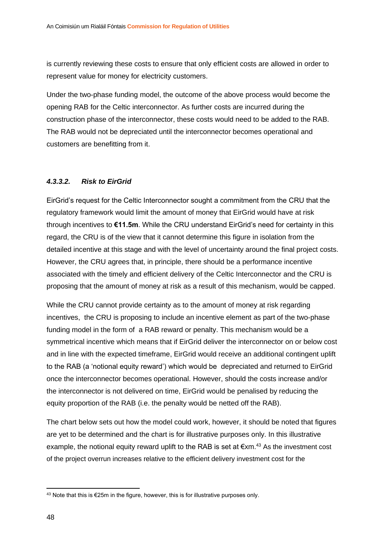is currently reviewing these costs to ensure that only efficient costs are allowed in order to represent value for money for electricity customers.

Under the two-phase funding model, the outcome of the above process would become the opening RAB for the Celtic interconnector. As further costs are incurred during the construction phase of the interconnector, these costs would need to be added to the RAB. The RAB would not be depreciated until the interconnector becomes operational and customers are benefitting from it.

#### *4.3.3.2. Risk to EirGrid*

EirGrid's request for the Celtic Interconnector sought a commitment from the CRU that the regulatory framework would limit the amount of money that EirGrid would have at risk through incentives to **€11.5m**. While the CRU understand EirGrid's need for certainty in this regard, the CRU is of the view that it cannot determine this figure in isolation from the detailed incentive at this stage and with the level of uncertainty around the final project costs. However, the CRU agrees that, in principle, there should be a performance incentive associated with the timely and efficient delivery of the Celtic Interconnector and the CRU is proposing that the amount of money at risk as a result of this mechanism, would be capped.

While the CRU cannot provide certainty as to the amount of money at risk regarding incentives, the CRU is proposing to include an incentive element as part of the two-phase funding model in the form of a RAB reward or penalty. This mechanism would be a symmetrical incentive which means that if EirGrid deliver the interconnector on or below cost and in line with the expected timeframe, EirGrid would receive an additional contingent uplift to the RAB (a 'notional equity reward') which would be depreciated and returned to EirGrid once the interconnector becomes operational. However, should the costs increase and/or the interconnector is not delivered on time, EirGrid would be penalised by reducing the equity proportion of the RAB (i.e. the penalty would be netted off the RAB).

The chart below sets out how the model could work, however, it should be noted that figures are yet to be determined and the chart is for illustrative purposes only. In this illustrative example, the notional equity reward uplift to the RAB is set at  $\epsilon$ xm.<sup>43</sup> As the investment cost of the project overrun increases relative to the efficient delivery investment cost for the

 $43$  Note that this is €25m in the figure, however, this is for illustrative purposes only.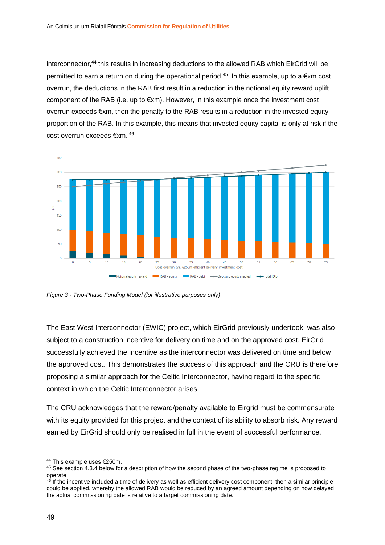interconnector, <sup>44</sup> this results in increasing deductions to the allowed RAB which EirGrid will be permitted to earn a return on during the operational period.<sup>45</sup> In this example, up to a  $\epsilon$ xm cost overrun, the deductions in the RAB first result in a reduction in the notional equity reward uplift component of the RAB (i.e. up to  $\notin$ xm). However, in this example once the investment cost overrun exceeds €xm, then the penalty to the RAB results in a reduction in the invested equity proportion of the RAB. In this example, this means that invested equity capital is only at risk if the cost overrun exceeds €xm. <sup>46</sup>



*Figure 3 - Two-Phase Funding Model (for illustrative purposes only)*

The East West Interconnector (EWIC) project, which EirGrid previously undertook, was also subject to a construction incentive for delivery on time and on the approved cost. EirGrid successfully achieved the incentive as the interconnector was delivered on time and below the approved cost. This demonstrates the success of this approach and the CRU is therefore proposing a similar approach for the Celtic Interconnector, having regard to the specific context in which the Celtic Interconnector arises.

The CRU acknowledges that the reward/penalty available to Eirgrid must be commensurate with its equity provided for this project and the context of its ability to absorb risk. Any reward earned by EirGrid should only be realised in full in the event of successful performance,

<sup>44</sup> This example uses €250m.

<sup>&</sup>lt;sup>45</sup> See section 4.3.4 below for a description of how the second phase of the two-phase regime is proposed to operate.

<sup>&</sup>lt;sup>46</sup> If the incentive included a time of delivery as well as efficient delivery cost component, then a similar principle could be applied, whereby the allowed RAB would be reduced by an agreed amount depending on how delayed the actual commissioning date is relative to a target commissioning date.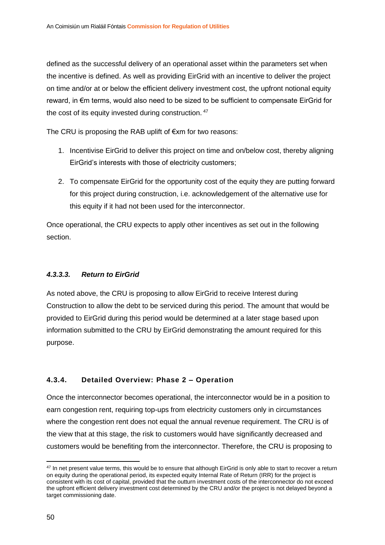defined as the successful delivery of an operational asset within the parameters set when the incentive is defined. As well as providing EirGrid with an incentive to deliver the project on time and/or at or below the efficient delivery investment cost, the upfront notional equity reward, in €m terms, would also need to be sized to be sufficient to compensate EirGrid for the cost of its equity invested during construction. <sup>47</sup>

The CRU is proposing the RAB uplift of €xm for two reasons:

- 1. Incentivise EirGrid to deliver this project on time and on/below cost, thereby aligning EirGrid's interests with those of electricity customers;
- 2. To compensate EirGrid for the opportunity cost of the equity they are putting forward for this project during construction, i.e. acknowledgement of the alternative use for this equity if it had not been used for the interconnector.

Once operational, the CRU expects to apply other incentives as set out in the following section.

#### *4.3.3.3. Return to EirGrid*

As noted above, the CRU is proposing to allow EirGrid to receive Interest during Construction to allow the debt to be serviced during this period. The amount that would be provided to EirGrid during this period would be determined at a later stage based upon information submitted to the CRU by EirGrid demonstrating the amount required for this purpose.

#### **4.3.4. Detailed Overview: Phase 2 – Operation**

Once the interconnector becomes operational, the interconnector would be in a position to earn congestion rent, requiring top-ups from electricity customers only in circumstances where the congestion rent does not equal the annual revenue requirement. The CRU is of the view that at this stage, the risk to customers would have significantly decreased and customers would be benefiting from the interconnector. Therefore, the CRU is proposing to

<sup>&</sup>lt;sup>47</sup> In net present value terms, this would be to ensure that although EirGrid is only able to start to recover a return on equity during the operational period, its expected equity Internal Rate of Return (IRR) for the project is consistent with its cost of capital, provided that the outturn investment costs of the interconnector do not exceed the upfront efficient delivery investment cost determined by the CRU and/or the project is not delayed beyond a target commissioning date.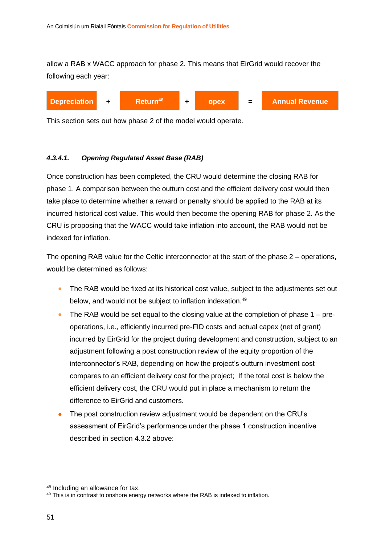allow a RAB x WACC approach for phase 2. This means that EirGrid would recover the following each year:



This section sets out how phase 2 of the model would operate.

#### *4.3.4.1. Opening Regulated Asset Base (RAB)*

Once construction has been completed, the CRU would determine the closing RAB for phase 1. A comparison between the outturn cost and the efficient delivery cost would then take place to determine whether a reward or penalty should be applied to the RAB at its incurred historical cost value. This would then become the opening RAB for phase 2. As the CRU is proposing that the WACC would take inflation into account, the RAB would not be indexed for inflation.

The opening RAB value for the Celtic interconnector at the start of the phase 2 – operations, would be determined as follows:

- The RAB would be fixed at its historical cost value, subject to the adjustments set out below, and would not be subject to inflation indexation.<sup>49</sup>
- The RAB would be set equal to the closing value at the completion of phase  $1 pre$ operations, i.e., efficiently incurred pre-FID costs and actual capex (net of grant) incurred by EirGrid for the project during development and construction, subject to an adjustment following a post construction review of the equity proportion of the interconnector's RAB, depending on how the project's outturn investment cost compares to an efficient delivery cost for the project; If the total cost is below the efficient delivery cost, the CRU would put in place a mechanism to return the difference to EirGrid and customers.
- The post construction review adjustment would be dependent on the CRU's assessment of EirGrid's performance under the phase 1 construction incentive described in section 4.3.2 above:

<sup>48</sup> Including an allowance for tax.

<sup>&</sup>lt;sup>49</sup> This is in contrast to onshore energy networks where the RAB is indexed to inflation.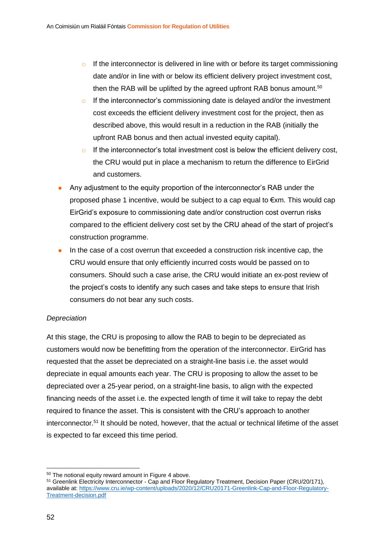- $\circ$  If the interconnector is delivered in line with or before its target commissioning date and/or in line with or below its efficient delivery project investment cost, then the RAB will be uplifted by the agreed upfront RAB bonus amount.<sup>50</sup>
- $\circ$  If the interconnector's commissioning date is delayed and/or the investment cost exceeds the efficient delivery investment cost for the project, then as described above, this would result in a reduction in the RAB (initially the upfront RAB bonus and then actual invested equity capital).
- $\circ$  If the interconnector's total investment cost is below the efficient delivery cost, the CRU would put in place a mechanism to return the difference to EirGrid and customers.
- Any adjustment to the equity proportion of the interconnector's RAB under the proposed phase 1 incentive, would be subject to a cap equal to €xm. This would cap EirGrid's exposure to commissioning date and/or construction cost overrun risks compared to the efficient delivery cost set by the CRU ahead of the start of project's construction programme.
- In the case of a cost overrun that exceeded a construction risk incentive cap, the CRU would ensure that only efficiently incurred costs would be passed on to consumers. Should such a case arise, the CRU would initiate an ex-post review of the project's costs to identify any such cases and take steps to ensure that Irish consumers do not bear any such costs.

#### *Depreciation*

At this stage, the CRU is proposing to allow the RAB to begin to be depreciated as customers would now be benefitting from the operation of the interconnector. EirGrid has requested that the asset be depreciated on a straight-line basis i.e. the asset would depreciate in equal amounts each year. The CRU is proposing to allow the asset to be depreciated over a 25-year period, on a straight-line basis, to align with the expected financing needs of the asset i.e. the expected length of time it will take to repay the debt required to finance the asset. This is consistent with the CRU's approach to another interconnector.<sup>51</sup> It should be noted, however, that the actual or technical lifetime of the asset is expected to far exceed this time period.

<sup>50</sup> The notional equity reward amount in Figure 4 above.

<sup>&</sup>lt;sup>51</sup> Greenlink Electricity Interconnector - Cap and Floor Regulatory Treatment, Decision Paper (CRU/20/171), available at[: https://www.cru.ie/wp-content/uploads/2020/12/CRU20171-Greenlink-Cap-and-Floor-Regulatory-](https://www.cru.ie/wp-content/uploads/2020/12/CRU20171-Greenlink-Cap-and-Floor-Regulatory-Treatment-decision.pdf)[Treatment-decision.pdf](https://www.cru.ie/wp-content/uploads/2020/12/CRU20171-Greenlink-Cap-and-Floor-Regulatory-Treatment-decision.pdf)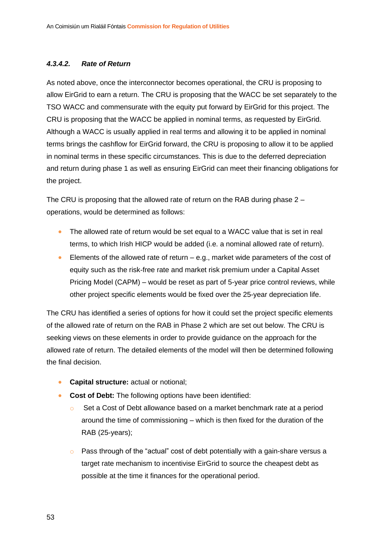#### *4.3.4.2. Rate of Return*

As noted above, once the interconnector becomes operational, the CRU is proposing to allow EirGrid to earn a return. The CRU is proposing that the WACC be set separately to the TSO WACC and commensurate with the equity put forward by EirGrid for this project. The CRU is proposing that the WACC be applied in nominal terms, as requested by EirGrid. Although a WACC is usually applied in real terms and allowing it to be applied in nominal terms brings the cashflow for EirGrid forward, the CRU is proposing to allow it to be applied in nominal terms in these specific circumstances. This is due to the deferred depreciation and return during phase 1 as well as ensuring EirGrid can meet their financing obligations for the project.

The CRU is proposing that the allowed rate of return on the RAB during phase 2 – operations, would be determined as follows:

- The allowed rate of return would be set equal to a WACC value that is set in real terms, to which Irish HICP would be added (i.e. a nominal allowed rate of return).
- Elements of the allowed rate of return  $-$  e.g., market wide parameters of the cost of equity such as the risk-free rate and market risk premium under a Capital Asset Pricing Model (CAPM) – would be reset as part of 5-year price control reviews, while other project specific elements would be fixed over the 25-year depreciation life.

The CRU has identified a series of options for how it could set the project specific elements of the allowed rate of return on the RAB in Phase 2 which are set out below. The CRU is seeking views on these elements in order to provide guidance on the approach for the allowed rate of return. The detailed elements of the model will then be determined following the final decision.

- **Capital structure:** actual or notional;
- **Cost of Debt:** The following options have been identified:
	- o Set a Cost of Debt allowance based on a market benchmark rate at a period around the time of commissioning – which is then fixed for the duration of the RAB (25-years);
	- o Pass through of the "actual" cost of debt potentially with a gain-share versus a target rate mechanism to incentivise EirGrid to source the cheapest debt as possible at the time it finances for the operational period.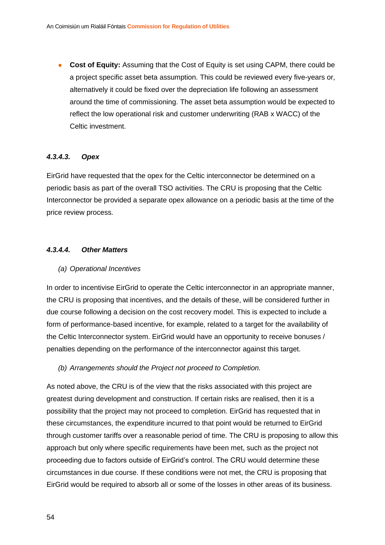• **Cost of Equity:** Assuming that the Cost of Equity is set using CAPM, there could be a project specific asset beta assumption. This could be reviewed every five-years or, alternatively it could be fixed over the depreciation life following an assessment around the time of commissioning. The asset beta assumption would be expected to reflect the low operational risk and customer underwriting (RAB x WACC) of the Celtic investment.

#### *4.3.4.3. Opex*

EirGrid have requested that the opex for the Celtic interconnector be determined on a periodic basis as part of the overall TSO activities. The CRU is proposing that the Celtic Interconnector be provided a separate opex allowance on a periodic basis at the time of the price review process.

#### *4.3.4.4. Other Matters*

#### *(a) Operational Incentives*

In order to incentivise EirGrid to operate the Celtic interconnector in an appropriate manner, the CRU is proposing that incentives, and the details of these, will be considered further in due course following a decision on the cost recovery model. This is expected to include a form of performance-based incentive, for example, related to a target for the availability of the Celtic Interconnector system. EirGrid would have an opportunity to receive bonuses / penalties depending on the performance of the interconnector against this target.

#### *(b) Arrangements should the Project not proceed to Completion.*

As noted above, the CRU is of the view that the risks associated with this project are greatest during development and construction. If certain risks are realised, then it is a possibility that the project may not proceed to completion. EirGrid has requested that in these circumstances, the expenditure incurred to that point would be returned to EirGrid through customer tariffs over a reasonable period of time. The CRU is proposing to allow this approach but only where specific requirements have been met, such as the project not proceeding due to factors outside of EirGrid's control. The CRU would determine these circumstances in due course. If these conditions were not met, the CRU is proposing that EirGrid would be required to absorb all or some of the losses in other areas of its business.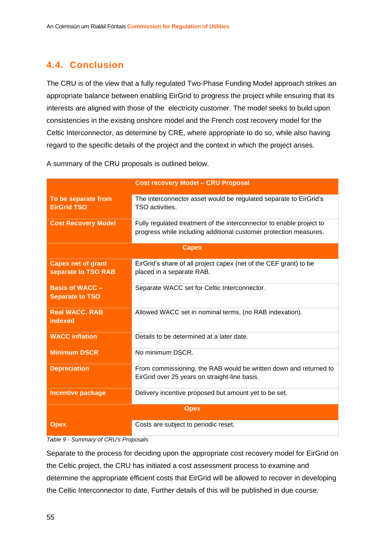### <span id="page-55-0"></span>**4.4. Conclusion**

The CRU is of the view that a fully regulated Two-Phase Funding Model approach strikes an appropriate balance between enabling EirGrid to progress the project while ensuring that its interests are aligned with those of the electricity customer. The model seeks to build upon consistencies in the existing onshore model and the French cost recovery model for the Celtic Interconnector, as determine by CRE, where appropriate to do so, while also having regard to the specific details of the project and the context in which the project arises.

|                                                  | <b>Cost recovery Model - CRU Proposal</b>                                                                                                 |  |  |  |
|--------------------------------------------------|-------------------------------------------------------------------------------------------------------------------------------------------|--|--|--|
| To be separate from<br><b>EirGrid TSO</b>        | The interconnector asset would be regulated separate to EirGrid's<br>TSO activities.                                                      |  |  |  |
| <b>Cost Recovery Model</b>                       | Fully regulated treatment of the interconnector to enable project to<br>progress while including additional customer protection measures. |  |  |  |
| <b>Capex</b>                                     |                                                                                                                                           |  |  |  |
| <b>Capex net of grant</b><br>separate to TSO RAB | EirGrid's share of all project capex (net of the CEF grant) to be<br>placed in a separate RAB.                                            |  |  |  |
| <b>Basis of WACC -</b><br><b>Separate to TSO</b> | Separate WACC set for Celtic Interconnector.                                                                                              |  |  |  |
| <b>Real WACC, RAB</b><br>indexed                 | Allowed WACC set in nominal terms, (no RAB indexation).                                                                                   |  |  |  |
| <b>WACC</b> inflation                            | Details to be determined at a later date.                                                                                                 |  |  |  |
| <b>Minimum DSCR</b>                              | No minimum DSCR.                                                                                                                          |  |  |  |
| <b>Depreciation</b>                              | From commissioning, the RAB would be written down and returned to<br>EirGrid over 25 years on straight-line basis.                        |  |  |  |
| <b>Incentive package</b>                         | Delivery incentive proposed but amount yet to be set.                                                                                     |  |  |  |
| <b>Opex</b>                                      |                                                                                                                                           |  |  |  |
| <b>Opex</b>                                      | Costs are subject to periodic reset.                                                                                                      |  |  |  |

A summary of the CRU proposals is outlined below.

*Table 9 - Summary of CRU's Proposals*

Separate to the process for deciding upon the appropriate cost recovery model for EirGrid on the Celtic project, the CRU has initiated a cost assessment process to examine and determine the appropriate efficient costs that EirGrid will be allowed to recover in developing the Celtic Interconnector to date. Further details of this will be published in due course.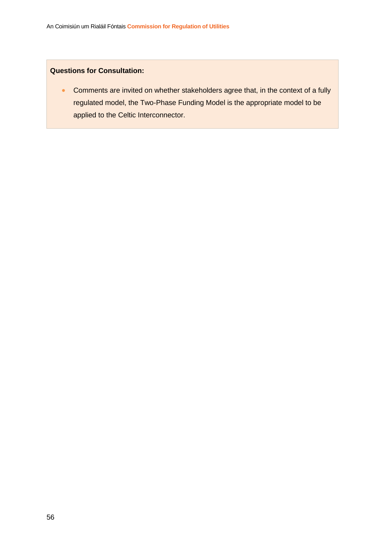#### **Questions for Consultation:**

• Comments are invited on whether stakeholders agree that, in the context of a fully regulated model, the Two-Phase Funding Model is the appropriate model to be applied to the Celtic Interconnector.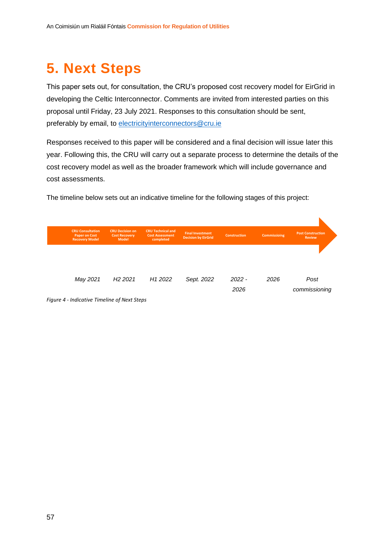## <span id="page-57-0"></span>**5. Next Steps**

This paper sets out, for consultation, the CRU's proposed cost recovery model for EirGrid in developing the Celtic Interconnector. Comments are invited from interested parties on this proposal until Friday, 23 July 2021. Responses to this consultation should be sent, preferably by email, to [electricityinterconnectors@cru.ie](mailto:electricityinterconnectors@cru.ie)

Responses received to this paper will be considered and a final decision will issue later this year. Following this, the CRU will carry out a separate process to determine the details of the cost recovery model as well as the broader framework which will include governance and cost assessments.

| <b>CRU Consultation</b><br><b>Paper on Cost</b><br><b>Recovery Model</b> | <b>CRU Decision on</b><br><b>Cost Recovery</b><br><b>Model</b> | <b>CRU Technical and</b><br><b>Cost Assessment</b><br>completed | <b>Final Investment</b><br><b>Decision by EirGrid</b> | <b>Construction</b> | <b>Commissioing</b> | <b>Post Construction</b><br><b>Review</b> |  |
|--------------------------------------------------------------------------|----------------------------------------------------------------|-----------------------------------------------------------------|-------------------------------------------------------|---------------------|---------------------|-------------------------------------------|--|
|                                                                          |                                                                |                                                                 |                                                       |                     |                     |                                           |  |
| May 2021                                                                 | H <sub>2</sub> 2021                                            | H <sub>1</sub> 2022                                             | Sept. 2022                                            | $2022 -$<br>2026    | 2026                | Post<br>commissioning                     |  |

The timeline below sets out an indicative timeline for the following stages of this project:

*Figure 4 - Indicative Timeline of Next Steps*